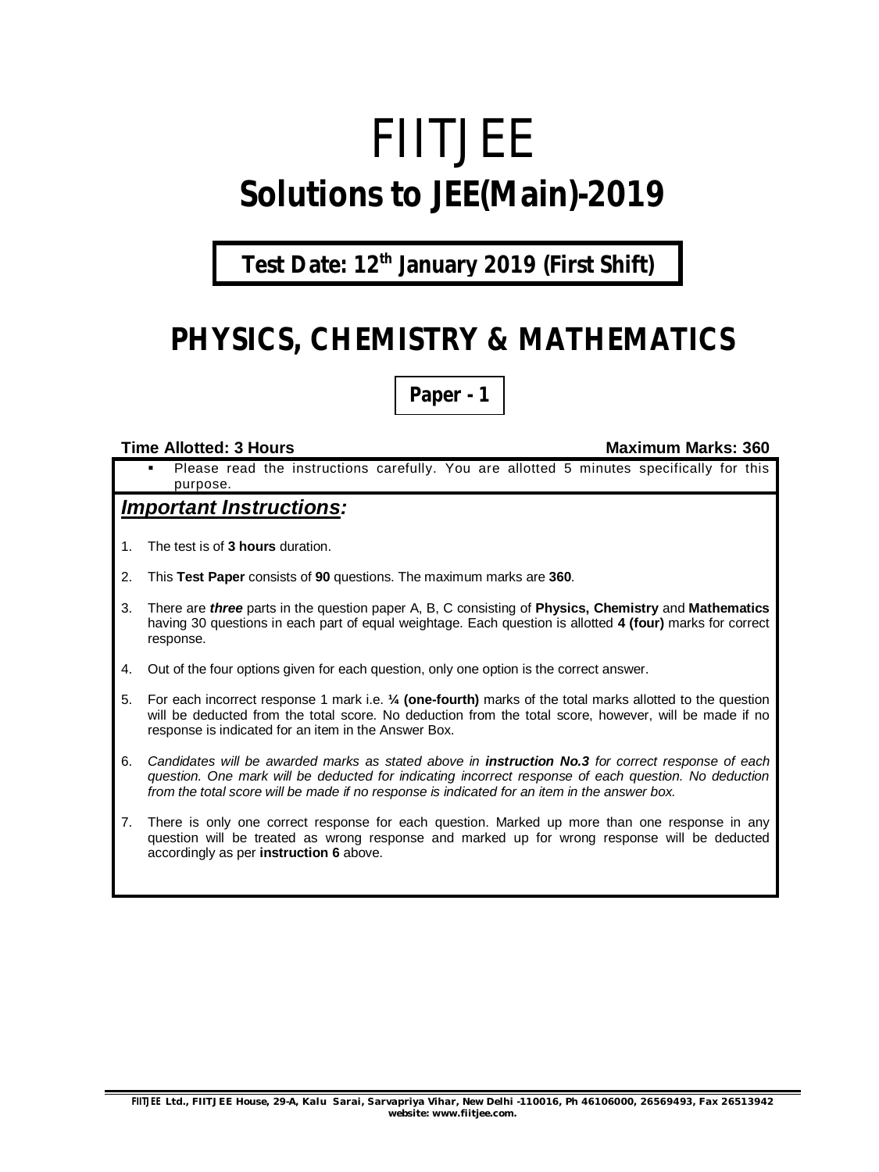# FIITJEE **Solutions to JEE(Main)-2019**

## **Test Date: 12th January 2019 (First Shift)**

# **PHYSICS, CHEMISTRY & MATHEMATICS**

**Paper - 1**

#### **Time Allotted: 3 Hours Maximum Marks: 360**

 Please read the instructions carefully. You are allotted 5 minutes specifically for this purpose.

### *Important Instructions:*

- 1. The test is of **3 hours** duration.
- 2. This **Test Paper** consists of **90** questions. The maximum marks are **360**.
- 3. There are *three* parts in the question paper A, B, C consisting of **Physics, Chemistry** and **Mathematics** having 30 questions in each part of equal weightage. Each question is allotted **4 (four)** marks for correct response.
- 4. Out of the four options given for each question, only one option is the correct answer.
- 5. For each incorrect response 1 mark i.e. **¼ (one-fourth)** marks of the total marks allotted to the question will be deducted from the total score. No deduction from the total score, however, will be made if no response is indicated for an item in the Answer Box.
- 6. *Candidates will be awarded marks as stated above in instruction No.3 for correct response of each question. One mark will be deducted for indicating incorrect response of each question. No deduction from the total score will be made if no response is indicated for an item in the answer box.*
- 7. There is only one correct response for each question. Marked up more than one response in any question will be treated as wrong response and marked up for wrong response will be deducted accordingly as per **instruction 6** above.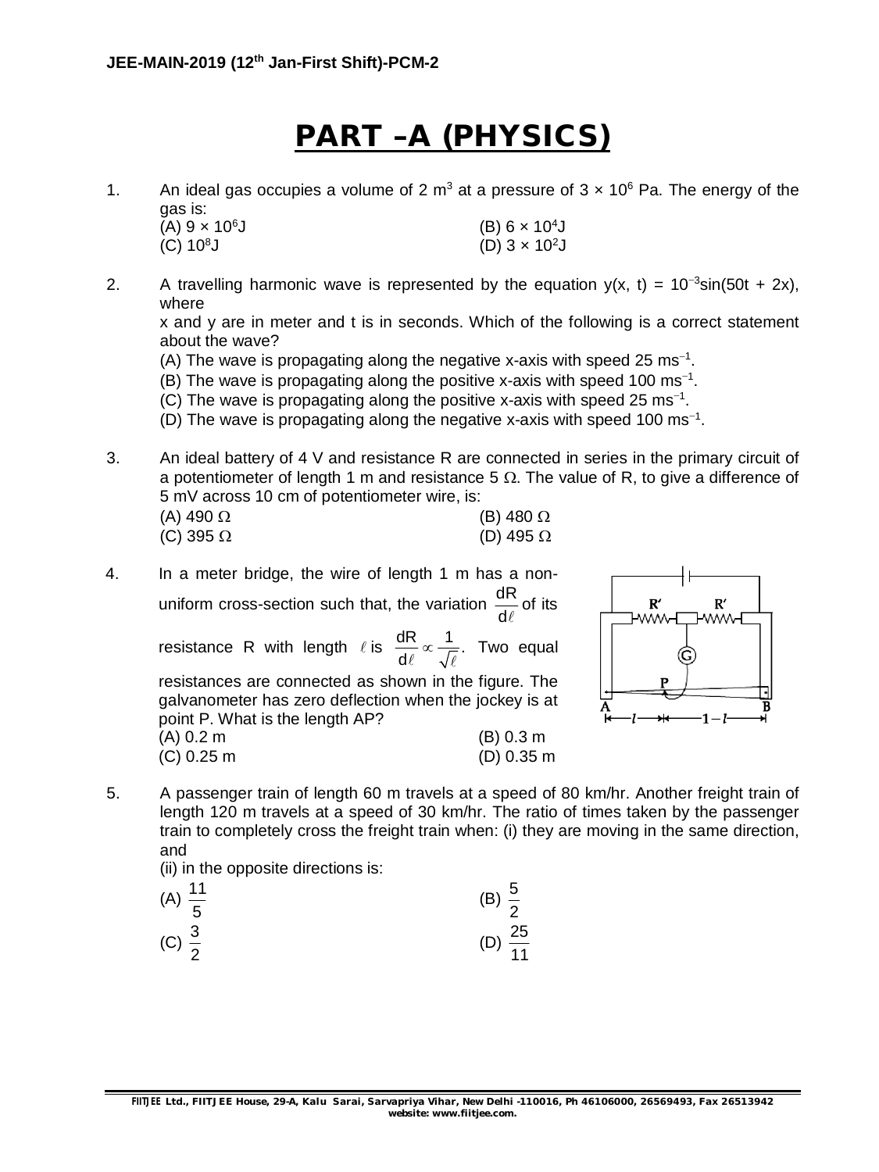# **PART –A (PHYSICS)**

1. An ideal gas occupies a volume of 2 m<sup>3</sup> at a pressure of  $3 \times 10^6$  Pa. The energy of the gas is:

| $\overline{\phantom{0}}$<br>$(A) 9 \times 10^{6}$ J | (B) 6 $\times$ 10 <sup>4</sup> J |
|-----------------------------------------------------|----------------------------------|
| $(C) 108$ J                                         | (D) $3 \times 10^2$ J            |

2. A travelling harmonic wave is represented by the equation  $y(x, t) = 10^{-3} \sin(50t + 2x)$ , where

x and y are in meter and t is in seconds. Which of the following is a correct statement about the wave?

(A) The wave is propagating along the negative x-axis with speed 25  $ms^{-1}$ .

- (B) The wave is propagating along the positive x-axis with speed 100 ms $^{-1}$ .
- (C) The wave is propagating along the positive x-axis with speed 25  $ms^{-1}$ .
- (D) The wave is propagating along the negative x-axis with speed 100  $\text{ms}^{-1}$ .
- 3. An ideal battery of 4 V and resistance R are connected in series in the primary circuit of a potentiometer of length 1 m and resistance 5  $\Omega$ . The value of R, to give a difference of 5 mV across 10 cm of potentiometer wire, is:

| (A) 490 Ω        | (B) 480 $\Omega$ |
|------------------|------------------|
| (C) 395 $\Omega$ | (D) 495 $\Omega$ |

4. In a meter bridge, the wire of length 1 m has a nonuniform cross-section such that, the variation  $\frac{dR}{dt}$  $d\ell$ of its resistance R with length  $\ell$  is  $\frac{dR}{dt} \propto \frac{1}{\epsilon}$ . d  $\infty$  $\ell$   $\sqrt{\ell}$ Two equal resistances are connected as shown in the figure. The galvanometer has zero deflection when the jockey is at point P. What is the length AP? (A) 0.2 m (B) 0.3 m (C) 0.25 m (D) 0.35 m



5. A passenger train of length 60 m travels at a speed of 80 km/hr. Another freight train of length 120 m travels at a speed of 30 km/hr. The ratio of times taken by the passenger train to completely cross the freight train when: (i) they are moving in the same direction, and

(ii) in the opposite directions is:

| (A) $\frac{11}{5}$ | (B) $\frac{5}{2}$   |
|--------------------|---------------------|
| (C) $\frac{3}{2}$  | (D) $\frac{25}{11}$ |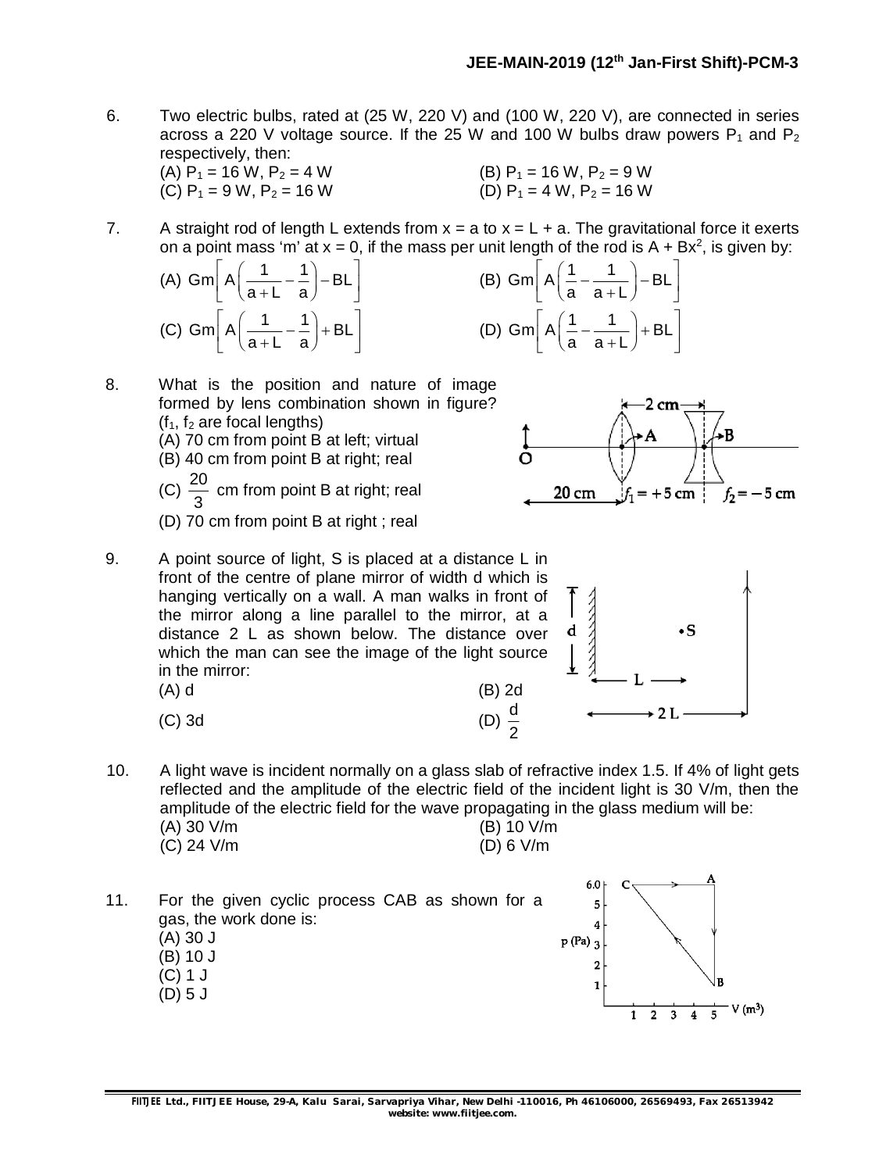- 6. Two electric bulbs, rated at (25 W, 220 V) and (100 W, 220 V), are connected in series across a 220 V voltage source. If the 25 W and 100 W bulbs draw powers  $P_1$  and  $P_2$ respectively, then:<br>(A)  $P_1 = 16$  W,  $P_2 = 4$  W
	- (A)  $P_1 = 16$  W,  $P_2 = 4$  W (B)  $P_1 = 16$  W,  $P_2 = 9$  W (C)  $P_1 = 9 W$ ,  $P_2 = 16 W$  (D)  $P_1 = 4 W$ ,  $P_2 = 16 W$
- 7. A straight rod of length L extends from  $x = a$  to  $x = L + a$ . The gravitational force it exerts on a point mass 'm' at  $x = 0$ , if the mass per unit length of the rod is  $A + Bx^2$ , is given by:
	- (A) Gm  $A\left(\frac{1}{1} \frac{1}{1}\right) BL$ a+L a  $A\left(\frac{1}{a+L}-\frac{1}{a}\right)-BL\right]$ (C) Gm  $A\left(\frac{1}{1} - \frac{1}{1}\right) + BL$ a+L a  $A\left(\frac{1}{a+L}-\frac{1}{a}\right)+BL\right]$



20 cm

d

 $= +5$  cm  $\pm$ 

 $\cdot$ s

 $\div 2L$ 

 $f_2 = -5$  cm

- 8. What is the position and nature of image formed by lens combination shown in figure?  $(f<sub>1</sub>, f<sub>2</sub>$  are focal lengths) (A) 70 cm from point B at left; virtual (B) 40 cm from point B at right; real
	- $(C) \frac{20}{2}$ 3 cm from point B at right; real
	- (D) 70 cm from point B at right ; real
- 9. A point source of light, S is placed at a distance L in front of the centre of plane mirror of width d which is hanging vertically on a wall. A man walks in front of the mirror along a line parallel to the mirror, at a distance 2 L as shown below. The distance over which the man can see the image of the light source in the mirror: (A) d (B) 2d
	- (C) 3d (D)  $\frac{d}{2}$
- 10. A light wave is incident normally on a glass slab of refractive index 1.5. If 4% of light gets reflected and the amplitude of the electric field of the incident light is 30 V/m, then the amplitude of the electric field for the wave propagating in the glass medium will be:<br>(A) 30 V/m

| $(M)$ JU V/III |  |  |
|----------------|--|--|
| $(C)$ 24 V/m   |  |  |

(B) 10 V/m  $(D) 6 V/m$ 

2

11. For the given cyclic process CAB as shown for a gas, the work done is: (A) 30 J (B) 10 J (C) 1 J (D) 5 J

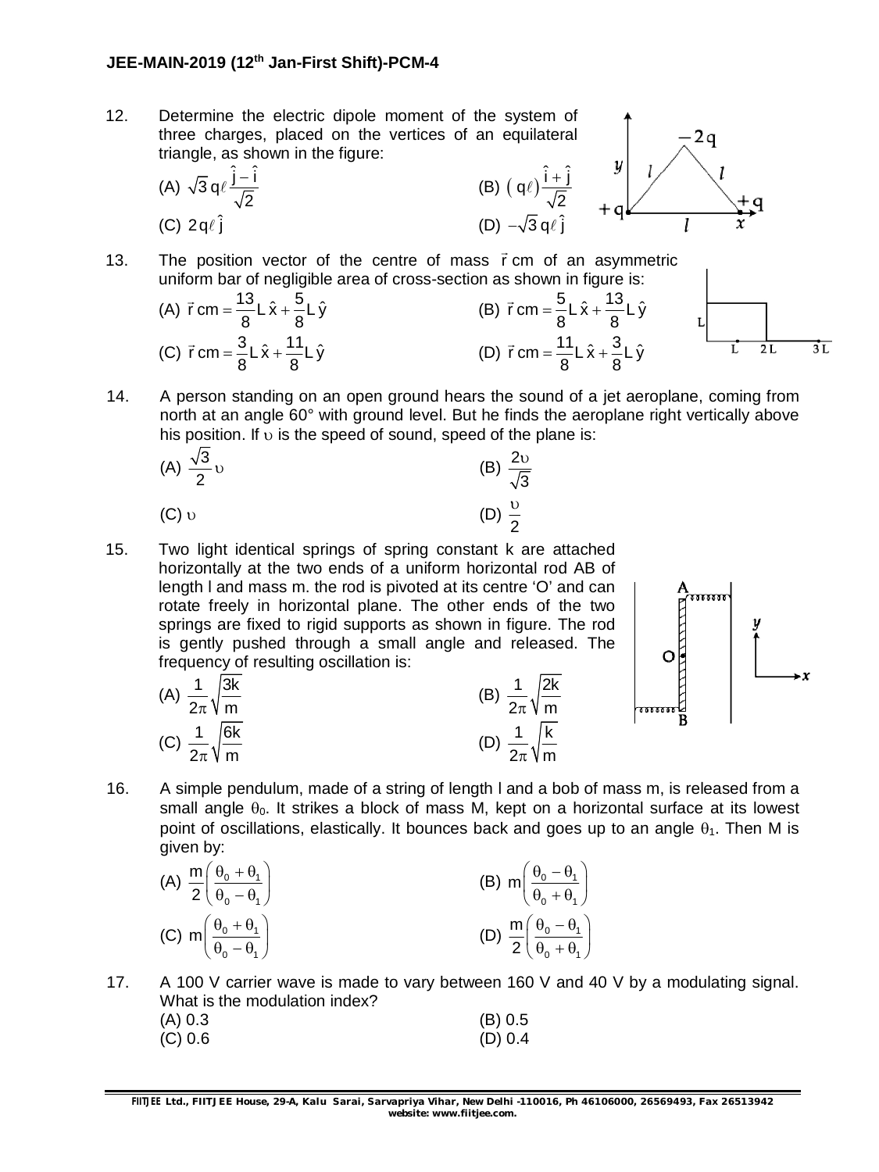### **JEE-MAIN-2019 (12 th Jan-First Shift)-PCM-4**

12. Determine the electric dipole moment of the system of three charges, placed on the vertices of an equilateral triangle, as shown in the figure:  $\mathcal{Y}$ (A)  $\sqrt{3} q \ell \frac{\hat{j} - \hat{i}}{\sqrt{2}}$  $\ell \frac{\hat{j} - \hat{i}}{\sqrt{2}}$  (B)  $(q\ell) \frac{\hat{i} + \hat{j}}{\sqrt{2}}$ - $\ell$ ) $\frac{i+1}{\sqrt{2}}$ 2 2 (C)  $2q\ell \hat{i}$  (D)  $-\sqrt{3} q\ell \hat{i}$ 13. The position vector of the centre of mass r cm of an asymmetric

uniform bar of negligible area of cross-section as shown in figure is:  $\rightarrow$  $\rightarrow$ (A)  $\vec{r}$  cm =  $\frac{13}{8}$  L  $\hat{x}$  +  $\frac{5}{8}$  L  $\hat{y}$ (B)  $\vec{r}$  cm =  $\frac{5}{8}$  L  $\hat{x}$  +  $\frac{13}{8}$  L  $\hat{y}$  $=\frac{1}{2}L\hat{x} + \frac{1}{2}$  $=\frac{5}{2}L\hat{x} + -$ L 8 8  $8 - 8$  $\overline{\phantom{a}}$  $\overline{\phantom{a}}$ (C)  $\vec{r}$  cm =  $\frac{3}{2}$  L  $\hat{x}$  +  $\frac{11}{2}$  L  $\hat{y}$ (D)  $\vec{r}$  cm =  $\frac{11}{2}$  L  $\hat{x}$  +  $\frac{3}{2}$  L  $\hat{y}$ ī.  $2L$  $3L$  $=\frac{6}{5}L\hat{x} + =\frac{1}{2}L\hat{x} + \frac{1}{2}$  $8^{\circ}$  8  $8^{\circ}$   $8^{\circ}$ 

14. A person standing on an open ground hears the sound of a jet aeroplane, coming from north at an angle 60° with ground level. But he finds the aeroplane right vertically above his position. If  $\upsilon$  is the speed of sound, speed of the plane is:

(A) 
$$
\frac{\sqrt{3}}{2}
$$
 U  
\n(B)  $\frac{2\upsilon}{\sqrt{3}}$   
\n(C)  $\upsilon$   
\n(D)  $\frac{\upsilon}{2}$ 

15. Two light identical springs of spring constant k are attached horizontally at the two ends of a uniform horizontal rod AB of length l and mass m. the rod is pivoted at its centre 'O' and can rotate freely in horizontal plane. The other ends of the two springs are fixed to rigid supports as shown in figure. The rod is gently pushed through a small angle and released. The frequency of resulting oscillation is:

(A) 
$$
\frac{1}{2\pi} \sqrt{\frac{3k}{m}}
$$
  
\n(B)  $\frac{1}{2\pi} \sqrt{\frac{2k}{m}}$   
\n(C)  $\frac{1}{2\pi} \sqrt{\frac{6k}{m}}$   
\n(D)  $\frac{1}{2\pi} \sqrt{\frac{k}{m}}$ 

$$
\begin{array}{c}\nA \\
\hline\n\end{array}
$$

16. A simple pendulum, made of a string of length l and a bob of mass m, is released from a small angle  $\theta_0$ . It strikes a block of mass M, kept on a horizontal surface at its lowest point of oscillations, elastically. It bounces back and goes up to an angle  $\theta_1$ . Then M is given by:

(A) 
$$
\frac{m}{2} \left( \frac{\theta_0 + \theta_1}{\theta_0 - \theta_1} \right)
$$
  
\n(B)  $m \left( \frac{\theta_0 - \theta_1}{\theta_0 + \theta_1} \right)$   
\n(C)  $m \left( \frac{\theta_0 + \theta_1}{\theta_0 - \theta_1} \right)$   
\n(D)  $\frac{m}{2} \left( \frac{\theta_0 - \theta_1}{\theta_0 + \theta_1} \right)$ 

17. A 100 V carrier wave is made to vary between 160 V and 40 V by a modulating signal. What is the modulation index?

| (A) 0.3 | (B) 0.5 |
|---------|---------|
| (C) 0.6 | (D) 0.4 |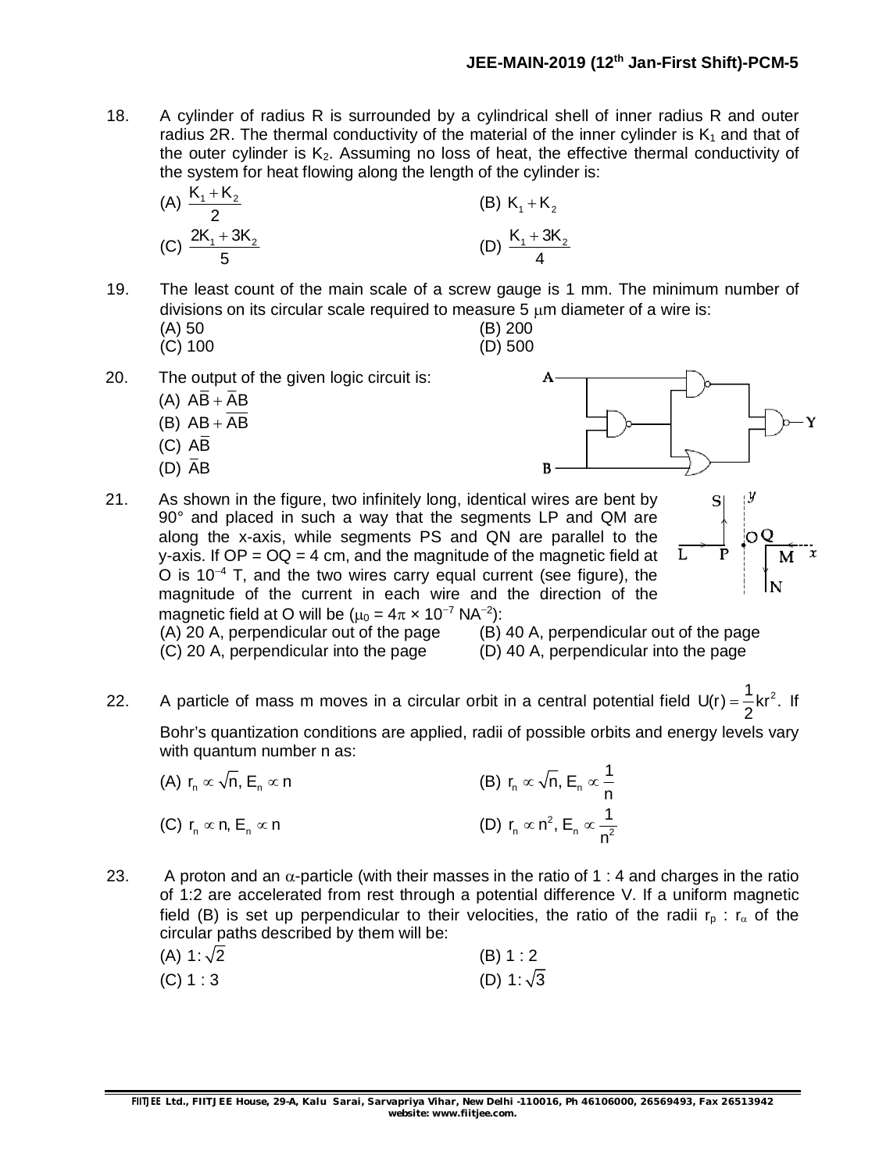18. A cylinder of radius R is surrounded by a cylindrical shell of inner radius R and outer radius 2R. The thermal conductivity of the material of the inner cylinder is  $K_1$  and that of the outer cylinder is  $K<sub>2</sub>$ . Assuming no loss of heat, the effective thermal conductivity of the system for heat flowing along the length of the cylinder is:

(A) 
$$
\frac{K_1 + K_2}{2}
$$
 (B)  $K_1 + K_2$   
(C)  $\frac{2K_1 + 3K_2}{5}$  (D)  $\frac{K_1 + 3K_2}{4}$ 

19. The least count of the main scale of a screw gauge is 1 mm. The minimum number of divisions on its circular scale required to measure  $5 \mu m$  diameter of a wire is:

- (A) 50 (B) 200 (B) 200 (C) 100  $(C)$  100
- 20. The output of the given logic circuit is:
	- (A)  $\overline{AB} + \overline{AB}$ (B)  $AB + \overline{AB}$
	- $(C)$   $\overline{AB}$
	-
	- $(D)$   $\overline{AB}$



21. As shown in the figure, two infinitely long, identical wires are bent by 90° and placed in such a way that the segments LP and QM are along the x-axis, while segments PS and QN are parallel to the y-axis. If  $OP = OQ = 4$  cm, and the magnitude of the magnetic field at O is  $10^{-4}$  T, and the two wires carry equal current (see figure), the magnitude of the current in each wire and the direction of the magnetic field at O will be ( $\mu_0 = 4\pi \times 10^{-7}$  NA<sup>-2</sup>):



(A) 20 A, perpendicular out of the page (B) 40 A, perpendicular out of the page

(C) 20 A, perpendicular into the page (D) 40 A, perpendicular into the page

22. A particle of mass m moves in a circular orbit in a central potential field  $U(r) = \frac{1}{2} k r^2$ . 2  $=\frac{1}{2}$ kr<sup>2</sup>. If

Bohr's quantization conditions are applied, radii of possible orbits and energy levels vary with quantum number n as:

- (A)  $r_n \propto \sqrt{n}$ ,  $E_n \propto n$  (B)  $r_n \propto \sqrt{n}$ ,  $E_n \propto \frac{1}{n}$ n  $\propto$   $\sqrt$ n, E $_{\textrm{n}}$   $\propto$   $\sim$ (C)  $r_n \propto n$ ,  $E_n \propto n$  $n \sim n$ ,  $n \sim n^2$ r<sub>n</sub>  $\propto$  n<sup>2</sup>, E<sub>n</sub>  $\propto \frac{1}{2}$ n  $\propto$  n<sup>2</sup>, E<sub>n</sub>  $\propto$
- 23. A proton and an  $\alpha$ -particle (with their masses in the ratio of 1 : 4 and charges in the ratio of 1:2 are accelerated from rest through a potential difference V. If a uniform magnetic field (B) is set up perpendicular to their velocities, the ratio of the radii  $r_p$ :  $r_\alpha$  of the circular paths described by them will be:

| (A) 1: $\sqrt{2}$ | (B) 1:2           |
|-------------------|-------------------|
| (C) 1:3           | (D) 1: $\sqrt{3}$ |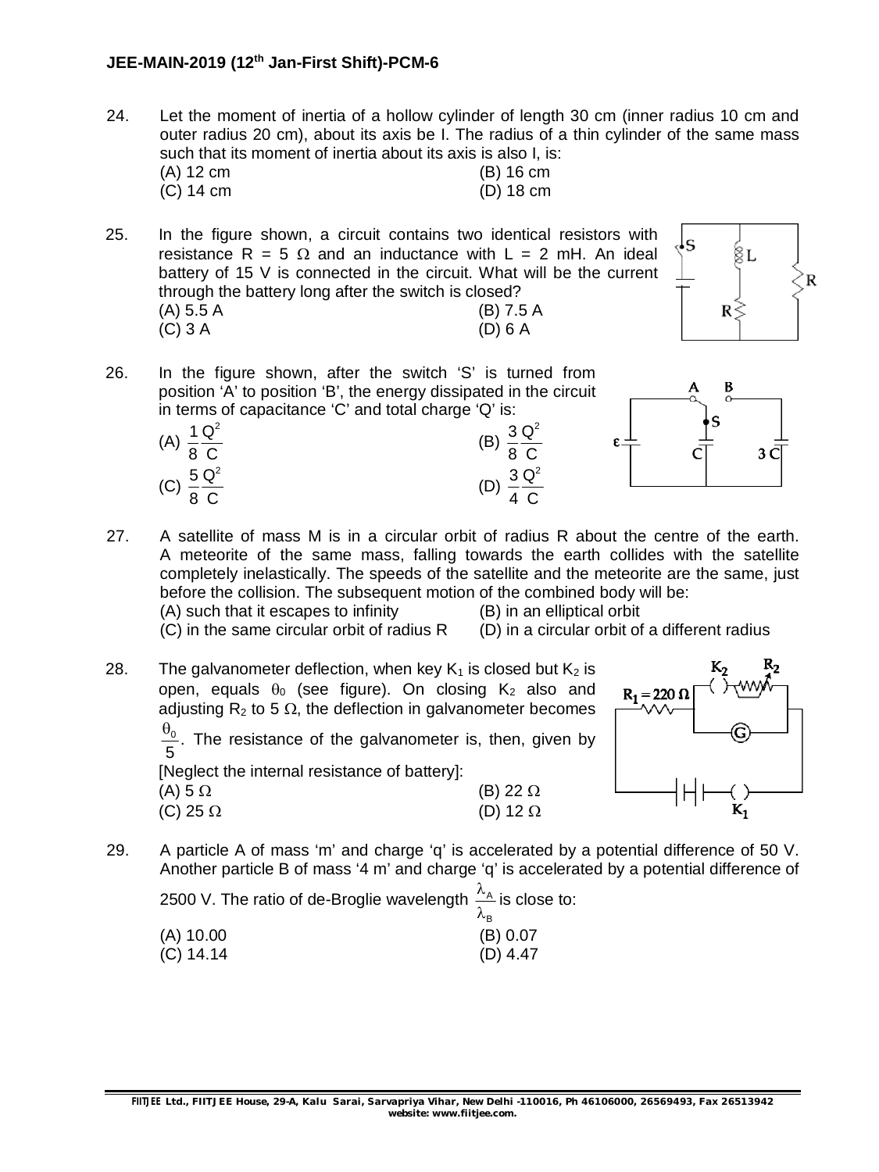### **JEE-MAIN-2019 (12 th Jan-First Shift)-PCM-6**

24. Let the moment of inertia of a hollow cylinder of length 30 cm (inner radius 10 cm and outer radius 20 cm), about its axis be I. The radius of a thin cylinder of the same mass such that its moment of inertia about its axis is also I, is:<br>(A) 12 cm (B) 16 cm  $(B)$  16 cm

| $(A)$ 12 cm | $(D)$ 10 $C$ $ID$ |
|-------------|-------------------|
| $(C)$ 14 cm | $(D)$ 18 cm       |

25. In the figure shown, a circuit contains two identical resistors with resistance R = 5  $\Omega$  and an inductance with L = 2 mH. An ideal battery of 15 V is connected in the circuit. What will be the current through the battery long after the switch is closed? (A) 5.5 A (B) 7.5 A (C) 3 A (D) 6 A



26. In the figure shown, after the switch 'S' is turned from position 'A' to position 'B', the energy dissipated in the circuit in terms of capacitance 'C' and total charge 'Q' is:



(A)

(C)

1  $Q^2$ 8 C

 $5 \mathrm{Q}^2$ 8 C



27. A satellite of mass M is in a circular orbit of radius R about the centre of the earth. A meteorite of the same mass, falling towards the earth collides with the satellite completely inelastically. The speeds of the satellite and the meteorite are the same, just before the collision. The subsequent motion of the combined body will be: (A) such that it escapes to infinity (B) in an elliptical orbit

(B)

(D)

 $3 \, \mathsf{Q}^2$ 8 C

 $3 \, \mathsf{Q}^2$ 4 C

 $(C)$  in the same circular orbit of radius R  $(D)$  in a circular orbit of a different radius

28. The galvanometer deflection, when key  $K_1$  is closed but  $K_2$  is open, equals  $\theta_0$  (see figure). On closing  $K_2$  also and adjusting  $R_2$  to 5  $\Omega$ , the deflection in galvanometer becomes  $\frac{0}{\cdot}$  . 5  $\frac{\theta_0}{5}$ . The resistance of the galvanometer is, then, given by [Neglect the internal resistance of battery]:

> (A)  $5 \Omega$  (B) 22  $\Omega$ (C) 25  $\Omega$  (D) 12  $\Omega$



29. A particle A of mass 'm' and charge 'q' is accelerated by a potential difference of 50 V. Another particle B of mass '4 m' and charge 'q' is accelerated by a potential difference of

2500 V. The ratio of de-Broglie wavelength  $\frac{\lambda_A}{\lambda_B}$ is close to:

|             | ັ | /∿ <sub>R</sub> |
|-------------|---|-----------------|
| $(A)$ 10.00 |   | (B) 0.07        |
| $(C)$ 14.14 |   | $(D)$ 4.47      |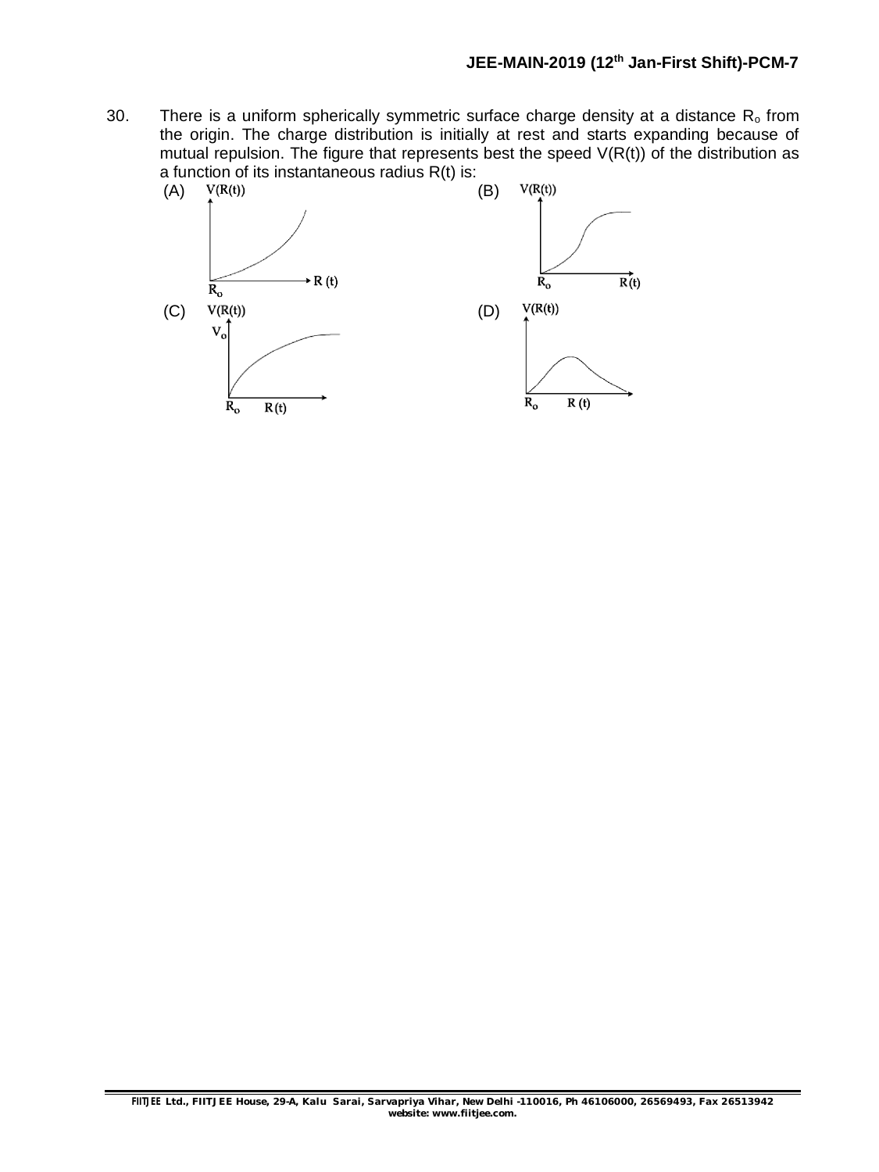30. There is a uniform spherically symmetric surface charge density at a distance  $R_0$  from the origin. The charge distribution is initially at rest and starts expanding because of mutual repulsion. The figure that represents best the speed  $V(R(t))$  of the distribution as a function of its instantaneous radius  $R(t)$  is:<br>(A)  $V(R(t))$  (B)

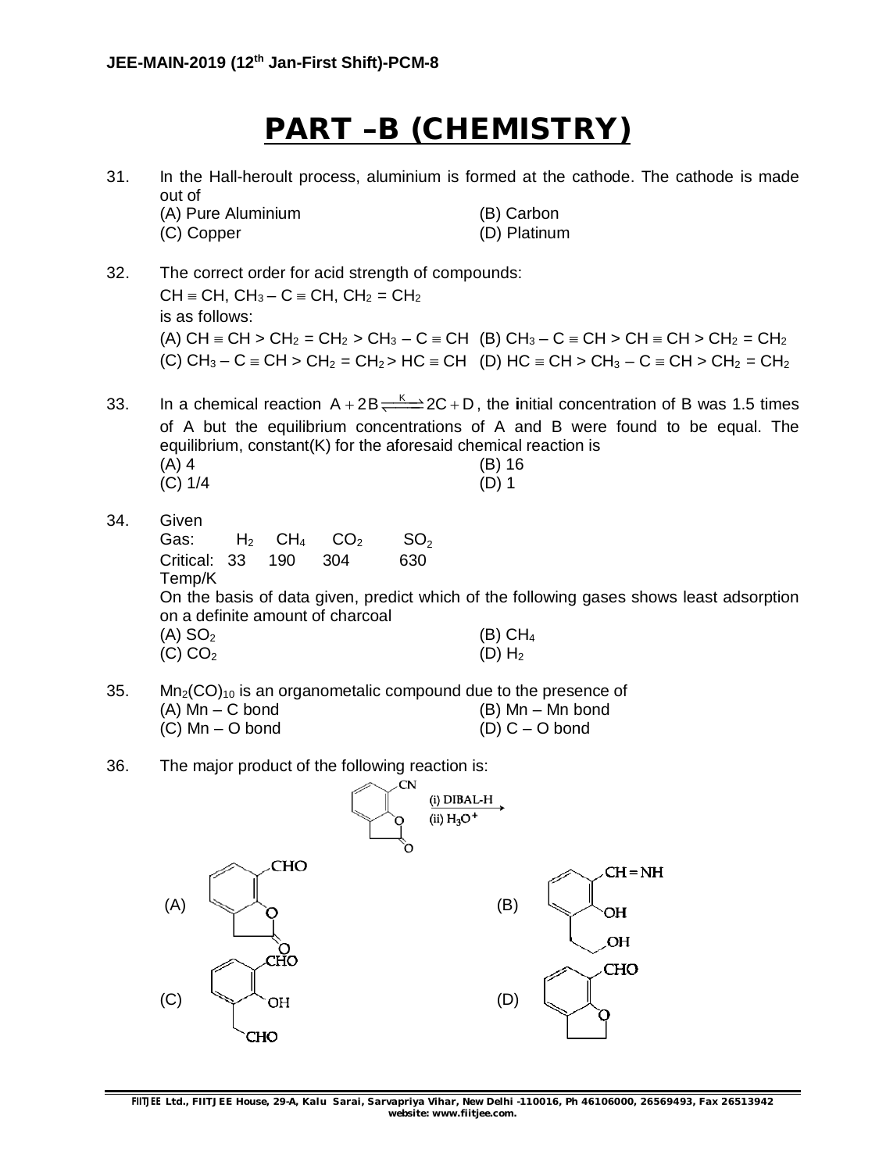# **PART –B (CHEMISTRY)**

| 31. | In the Hall-heroult process, aluminium is formed at the cathode. The cathode is made<br>out of                                                                                                                                 |                                                                                                                                                                                                                                                                      |  |
|-----|--------------------------------------------------------------------------------------------------------------------------------------------------------------------------------------------------------------------------------|----------------------------------------------------------------------------------------------------------------------------------------------------------------------------------------------------------------------------------------------------------------------|--|
|     | (A) Pure Aluminium<br>(C) Copper                                                                                                                                                                                               | (B) Carbon<br>(D) Platinum                                                                                                                                                                                                                                           |  |
| 32. | The correct order for acid strength of compounds:<br>$CH \equiv CH$ , $CH_3 - C \equiv CH$ , $CH_2 = CH_2$<br>is as follows:                                                                                                   | (A) $CH \equiv CH > CH_2 = CH_2 > CH_3 - C \equiv CH$ (B) $CH_3 - C \equiv CH > CH \equiv CH > CH_2 = CH_2$<br>(C) CH <sub>3</sub> – C = CH > CH <sub>2</sub> = CH <sub>2</sub> > HC = CH (D) HC = CH > CH <sub>3</sub> – C = CH > CH <sub>2</sub> = CH <sub>2</sub> |  |
| 33. | equilibrium, constant(K) for the aforesaid chemical reaction is<br>$(A)$ 4<br>(C) 1/4                                                                                                                                          | In a chemical reaction $A + 2B \rightleftharpoons 2C + D$ , the initial concentration of B was 1.5 times<br>of A but the equilibrium concentrations of A and B were found to be equal. The<br>(B) 16<br>$(D)$ 1                                                      |  |
| 34. | Given<br>CO <sub>2</sub><br>H <sub>2</sub><br>CH <sub>4</sub><br>SO <sub>2</sub><br>Gas:<br>33<br>190<br>304<br>630<br>Critical:<br>Temp/K<br>on a definite amount of charcoal<br>$(A)$ SO <sub>2</sub><br>(C) CO <sub>2</sub> | On the basis of data given, predict which of the following gases shows least adsorption<br>$(B)$ CH <sub>4</sub><br>$(D)$ H <sub>2</sub>                                                                                                                             |  |
| 35. | $Mn2(CO)10$ is an organometalic compound due to the presence of<br>$(A)$ Mn $- C$ bond<br>$(C)$ Mn $-$ O bond                                                                                                                  | (B) Mn – Mn bond<br>$(D)$ C – O bond                                                                                                                                                                                                                                 |  |
| 36. | The major product of the following reaction is:<br>CN<br>(i) DIBAL-H<br>(ii) $H_3O^+$<br>Ő                                                                                                                                     |                                                                                                                                                                                                                                                                      |  |
|     | CHO<br>(A)<br>СHO                                                                                                                                                                                                              | $CH = NH$<br>(B)<br>OН<br>OH<br>CHO                                                                                                                                                                                                                                  |  |
|     | (C)<br>OH<br>CHO                                                                                                                                                                                                               | (D)                                                                                                                                                                                                                                                                  |  |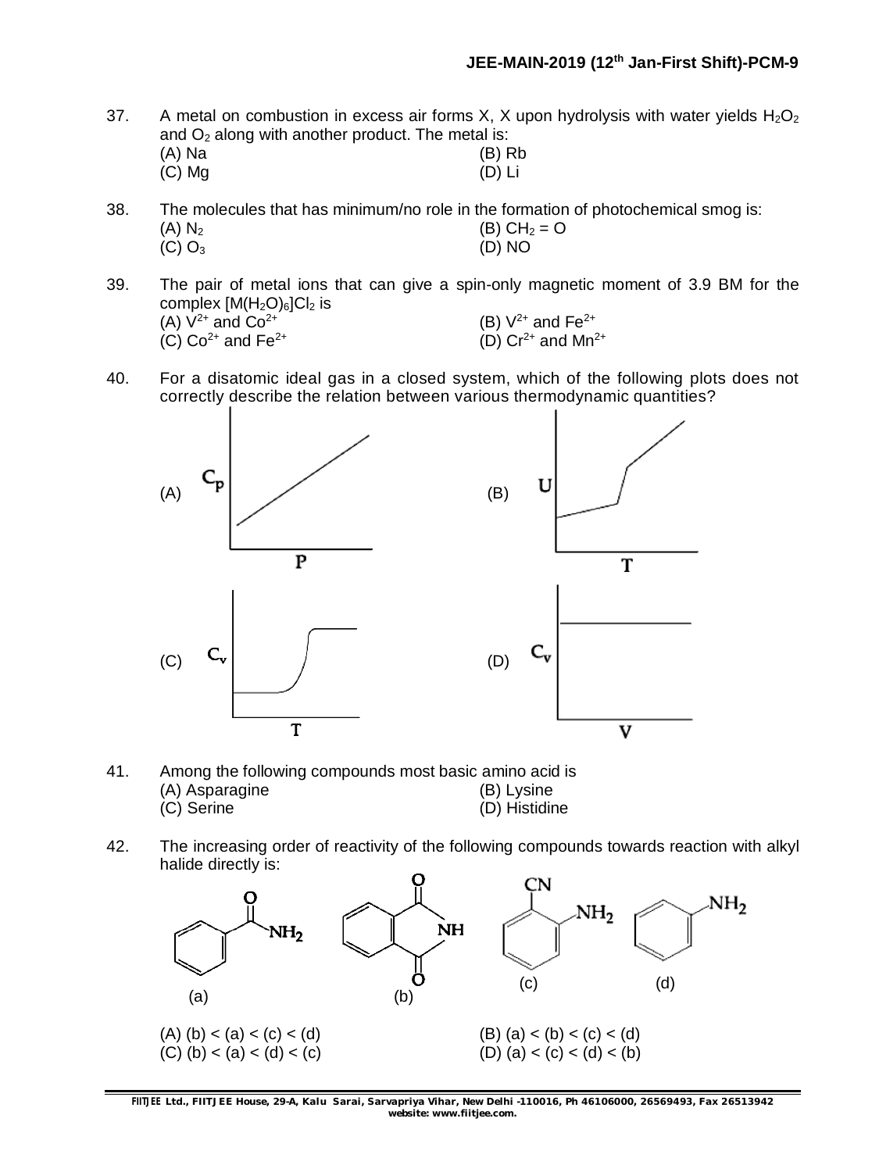37. A metal on combustion in excess air forms X, X upon hydrolysis with water yields  $H_2O_2$ and O<sub>2</sub> along with another product. The metal is:<br>(A) N<sub>2</sub>

| (A) Na   | $(B)$ Rb |
|----------|----------|
| $(C)$ Mg | $(D)$ Li |

38. The molecules that has minimum/no role in the formation of photochemical smog is:

- (A)  $N_2$  (B)  $CH_2 = O$  $(C)$  O<sub>3</sub> (D) NO
- 39. The pair of metal ions that can give a spin-only magnetic moment of 3.9 BM for the complex  $[M(H_2O)_6]Cl_2$  is (A)  $V^{2+}$  and  $Co^{2+}$  (B)  $V^{2+}$  and Fe<sup>2+</sup> (C)  $Co^{2+}$  and Fe<sup>2+</sup> (D)  $Cr^{2+}$  and Mn<sup>2</sup> (D)  $Cr^{2+}$  and Mn<sup>2+</sup>
- 40. For a disatomic ideal gas in a closed system, which of the following plots does not correctly describe the relation between various thermodynamic quantities?



- 41. Among the following compounds most basic amino acid is (A) Asparagine (B) Lysine (B) Lysine (C) Serine (C) Serine (B) Lysine (B) Histidir  $(D)$  Histidine
- 42. The increasing order of reactivity of the following compounds towards reaction with alkyl halide directly is:



**FIITJEE** *Ltd., FIITJEE House, 29-A, Kalu Sarai, Sarvapriya Vihar, New Delhi -110016, Ph 46106000, 26569493, Fax 26513942 website: [www.fiitjee.com.](http://www.fiitjee.com.)*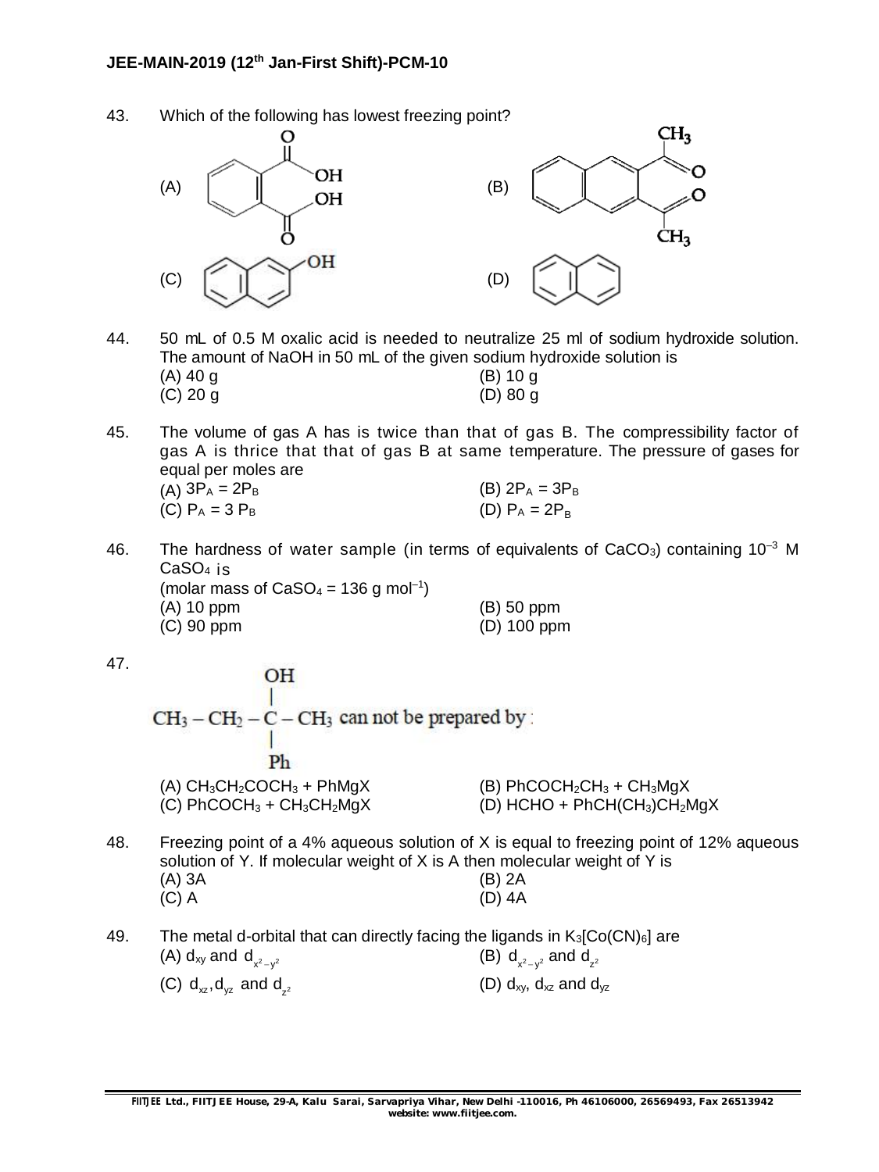43. Which of the following has lowest freezing point?



44. 50 mL of 0.5 M oxalic acid is needed to neutralize 25 ml of sodium hydroxide solution. The amount of NaOH in 50 mL of the given sodium hydroxide solution is  $(A)$  40 g (B) 10 g (C) 20 g (D) 80 g

45. The volume of gas A has is twice than that of gas B. The compressibility factor of gas A is thrice that that of gas B at same temperature. The pressure of gases for equal per moles are (A)  $3P_A = 2P_B$  (B)  $2P_A = 3P_B$ 

| (C) $P_A = 3 P_B$                                               |  | (D) $P_A = 2P_B$ |  |
|-----------------------------------------------------------------|--|------------------|--|
| The housiness of water seminate the terms of conjunicate of OsC |  |                  |  |

46. The hardness of water sample (in terms of equivalents of CaCO<sub>3</sub>) containing  $10^{-3}$  M CaSO<sup>4</sup> is (molar mass of  $CaSO<sub>4</sub> = 136$  g mol<sup>-1</sup>) (A) 10 ppm (B) 50 ppm (C) 90 ppm (D) 100 ppm

47.

OH  $CH_3-CH_2-C-CH_3$  can not be prepared by: Ph (A)  $CH_3CH_2COCH_3 + PhMqX$  (B)  $PhCOCH_2CH_3 + CH_3MqX$ (C)  $PhCOCH_3 + CH_3CH_2MgX$  (D)  $HCHO + PhCH(CH_3)CH_2MgX$ 48. Freezing point of a 4% aqueous solution of X is equal to freezing point of 12% aqueous solution of Y. If molecular weight of X is A then molecular weight of Y is (A) 3A (B) 2A

49. The metal d-orbital that can directly facing the ligands in  $K_3[Co(CN)_6]$  are (A)  $d_{xy}$  and  $d_{x^2-y^2}$  $(B)$   $d_{x^2-y^2}$  and  $d_{z^2}$ (C)  $\mathsf{d}_{\mathsf{x}\mathsf{z}}, \mathsf{d}_{\mathsf{y}\mathsf{z}}$  and  $\mathsf{d}_{\mathsf{z}^2}$ (D)  $d_{xy}$ ,  $d_{xz}$  and  $d_{yz}$ 

(C) A (D) 4A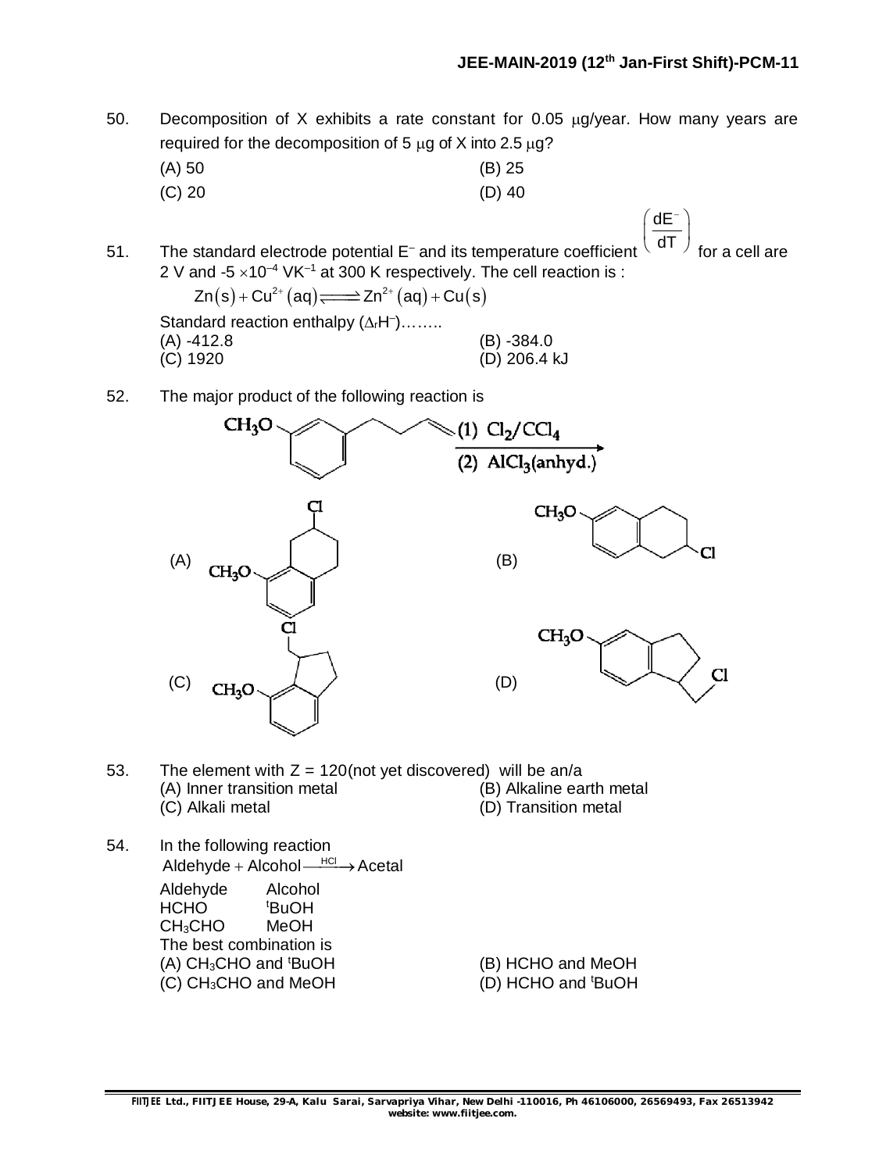dE

- 50. Decomposition of X exhibits a rate constant for 0.05  $\mu$ g/year. How many years are required for the decomposition of 5  $\mu$ g of X into 2.5  $\mu$ g?
	- (A) 50 (B) 25 (C) 20 (D) 40
- 51. The standard electrode potential E– and its temperature coefficient dT for a cell are 2 V and -5  $\times$ 10<sup>-4</sup> VK<sup>-1</sup> at 300 K respectively. The cell reaction is :

 $Zn(s) + Cu^{2+}(aq) \rightleftharpoons Zn^{2+}(aq) + Cu(s)$ Standard reaction enthalpy  $(\Delta_f H^-)$ ....... (A) -412.8 (B) -384.0 (C) 1920 (D) 206.4 kJ

52. The major product of the following reaction is



- 53. The element with  $Z = 120$ (not yet discovered) will be an/a (A) Inner transition metal (B) Alkaline earth metal (C) Alkali metal (D) Transition metal
- 54. In the following reaction  $A$ ldehyde + Alcohol  $\xrightarrow{HC}$  Acetal Aldehyde Alcohol HCHO <sup>t</sup>BuOH CH3CHO MeOH The best combination is  $(A)$  CH<sub>3</sub>CHO and  $BuOH$  (B) HCHO and MeOH  $(C)$  CH<sub>3</sub>CHO and MeOH  $(D)$  HCHO and  $t$ BuOH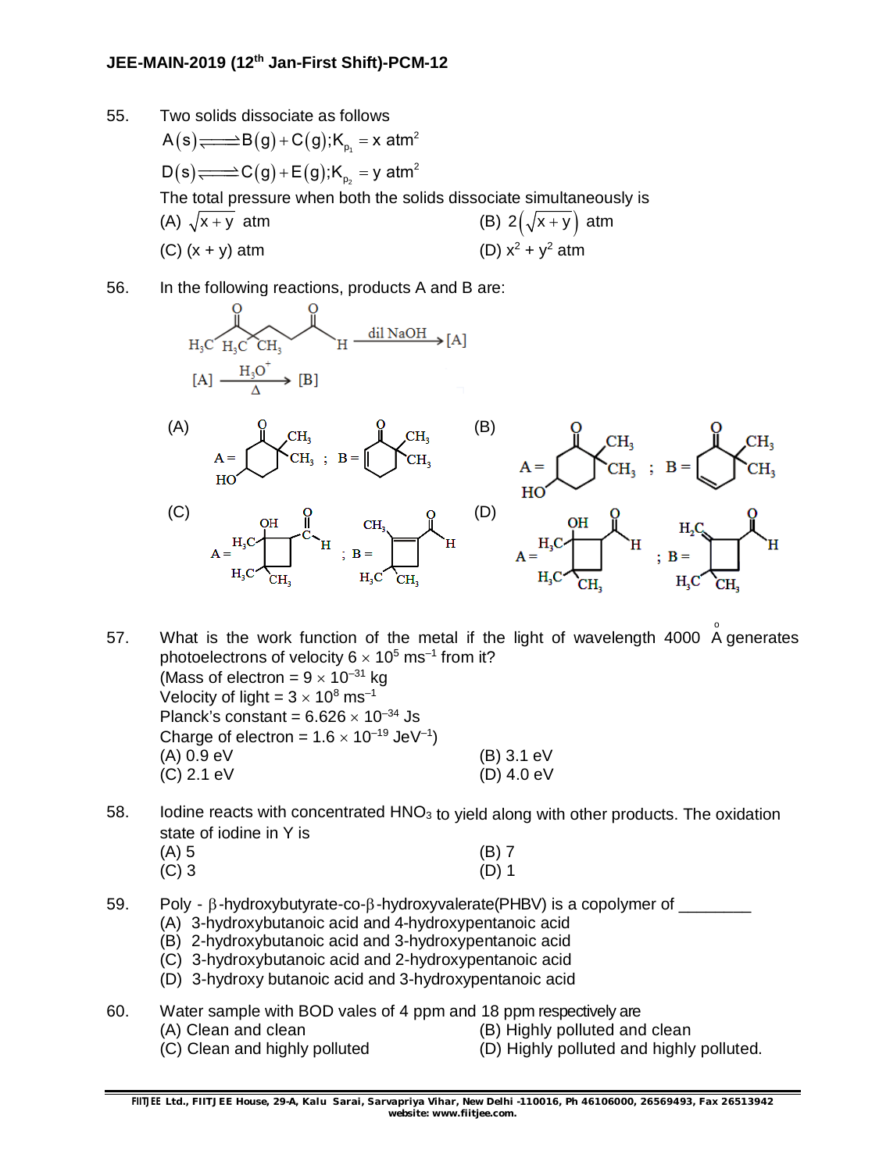### **JEE-MAIN-2019 (12 th Jan-First Shift)-PCM-12**

- 55. Two solids dissociate as follows  $A(s)$  $\Longrightarrow$ B $(g)$ +C $(g)$ ;K $_{p_{1}}$  = x atm<sup>2</sup>  $\mathsf{D}(\mathsf{s})\!\!\!\!\!\Longrightarrow\!\!\mathsf{C}(\mathsf{g})\!+\!\mathsf{E}(\mathsf{g})\text{;K}_{_{\mathsf{p}_2}}\text{ = y atm}^2$ The total pressure when both the solids dissociate simultaneously is (A)  $\sqrt{x+y}$  atm (B)  $2(\sqrt{x+y})$  atm (C)  $(x + y)$  atm (D)  $x^2 + y^2$  atm
- 56. In the following reactions, products A and B are:

$$
\begin{array}{ccc}\n & 0 & \\
 \downarrow & \\
 H_3C & H_3C & CH_3 & \\
 \downarrow & \searrow & \\
 [A] & \xrightarrow{\quad H_3O^+} \\
 & \searrow & \\
 (B) & & \n\end{array} \quad H \xrightarrow{\quad \text{dil NaOH} \quad} [A]
$$



- 57. What is the work function of the metal if the light of wavelength 4000  $\stackrel{\circ}{\mathsf{A}}$  generates photoelectrons of velocity 6  $\times$  10<sup>5</sup> ms<sup>-1</sup> from it? Mass of electron =  $9 \times 10^{-31}$  kg Velocity of light =  $3 \times 10^8$  ms<sup>-1</sup> Planck's constant =  $6.626 \times 10^{-34}$  Js Charge of electron =  $1.6 \times 10^{-19}$  JeV<sup>-1</sup>) (A) 0.9 eV (B) 3.1 eV (C) 2.1 eV (D) 4.0 eV
- 58. Iodine reacts with concentrated  $HNO<sub>3</sub>$  to yield along with other products. The oxidation state of iodine in Y is  $(A)$  5  $(A) 5$  (B) 7  $(C)$  3 (D) 1
- 59. Poly  $\beta$ -hydroxybutyrate-co- $\beta$ -hydroxyvalerate(PHBV) is a copolymer of \_\_\_\_\_\_\_
	- (A) 3-hydroxybutanoic acid and 4-hydroxypentanoic acid
	- (B) 2-hydroxybutanoic acid and 3-hydroxypentanoic acid
	- (C) 3-hydroxybutanoic acid and 2-hydroxypentanoic acid
	- (D) 3-hydroxy butanoic acid and 3-hydroxypentanoic acid
- 60. Water sample with BOD vales of 4 ppm and 18 ppm respectively are
	-
	- (A) Clean and clean (B) Highly polluted and clean
	-
	- (C) Clean and highly polluted (D) Highly polluted and highly polluted.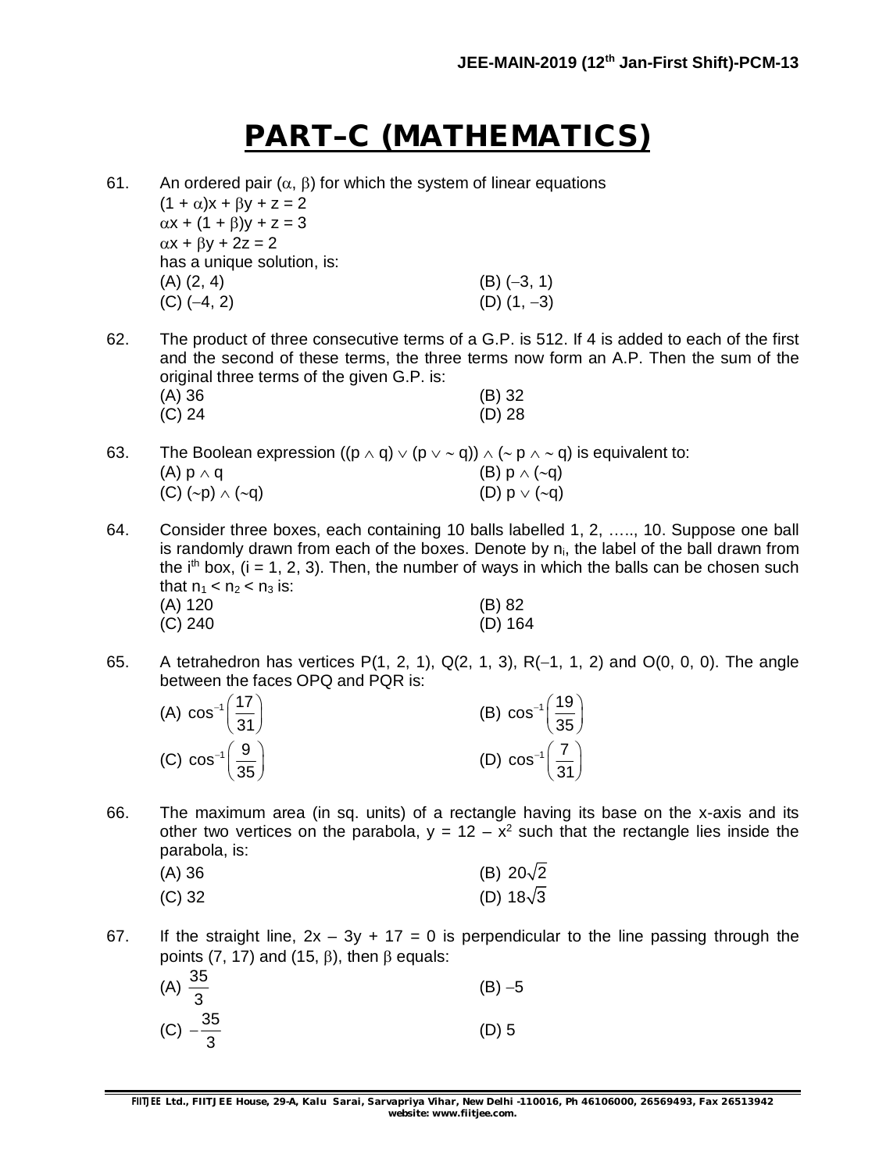# **PART–C (MATHEMATICS)**

61. An ordered pair  $(\alpha, \beta)$  for which the system of linear equations  $(1 + \alpha)x + \beta y + z = 2$ 

> $\alpha x + (1 + \beta)y + z = 3$  $\alpha x + \beta y + 2z = 2$ has a unique solution, is:  $(A)$   $(2, 4)$   $(B)$   $(-3, 1)$ (C)  $(-4, 2)$  (D)  $(1, -3)$

62. The product of three consecutive terms of a G.P. is 512. If 4 is added to each of the first and the second of these terms, the three terms now form an A.P. Then the sum of the original three terms of the given G.P. is:

| $(A)$ 36 | $(B)$ 32 |
|----------|----------|
| (C) 24   | $(D)$ 28 |

- 63. The Boolean expression  $((p \wedge q) \vee (p \vee q)) \wedge (\sim p \wedge \sim q)$  is equivalent to: (A)  $p \wedge q$  (B)  $p \wedge (\sim q)$ (C)  $(\sim p) \land (\sim q)$  (D)  $p \lor (\sim q)$
- 64. Consider three boxes, each containing 10 balls labelled 1, 2, ….., 10. Suppose one ball is randomly drawn from each of the boxes. Denote by  $n_i$ , the label of the ball drawn from the i<sup>th</sup> box, (i = 1, 2, 3). Then, the number of ways in which the balls can be chosen such that  $n_1 < n_2 < n_3$  is: (A) 120 (B) 82 (C) 240 (D) 164
- 65. A tetrahedron has vertices  $P(1, 2, 1)$ ,  $Q(2, 1, 3)$ ,  $R(-1, 1, 2)$  and  $O(0, 0, 0)$ . The angle between the faces OPQ and PQR is:

| (A) $\cos^{-1}\left(\frac{17}{31}\right)$   | (B) $\cos^{-1} \left( \frac{19}{35} \right)$ |
|---------------------------------------------|----------------------------------------------|
| (C) $\cos^{-1} \left( \frac{9}{35} \right)$ | (D) $\cos^{-1}\left(\frac{7}{31}\right)$     |

66. The maximum area (in sq. units) of a rectangle having its base on the x-axis and its other two vertices on the parabola,  $y = 12 - x^2$  such that the rectangle lies inside the parabola, is:

| (A) 36   | (B) $20\sqrt{2}$ |
|----------|------------------|
| $(C)$ 32 | (D) $18\sqrt{3}$ |

67. If the straight line,  $2x - 3y + 17 = 0$  is perpendicular to the line passing through the points (7, 17) and (15,  $\beta$ ), then  $\beta$  equals:

| (A) $\frac{35}{3}$  | $(B) -5$ |
|---------------------|----------|
| (C) $-\frac{35}{3}$ | $(D)$ 5  |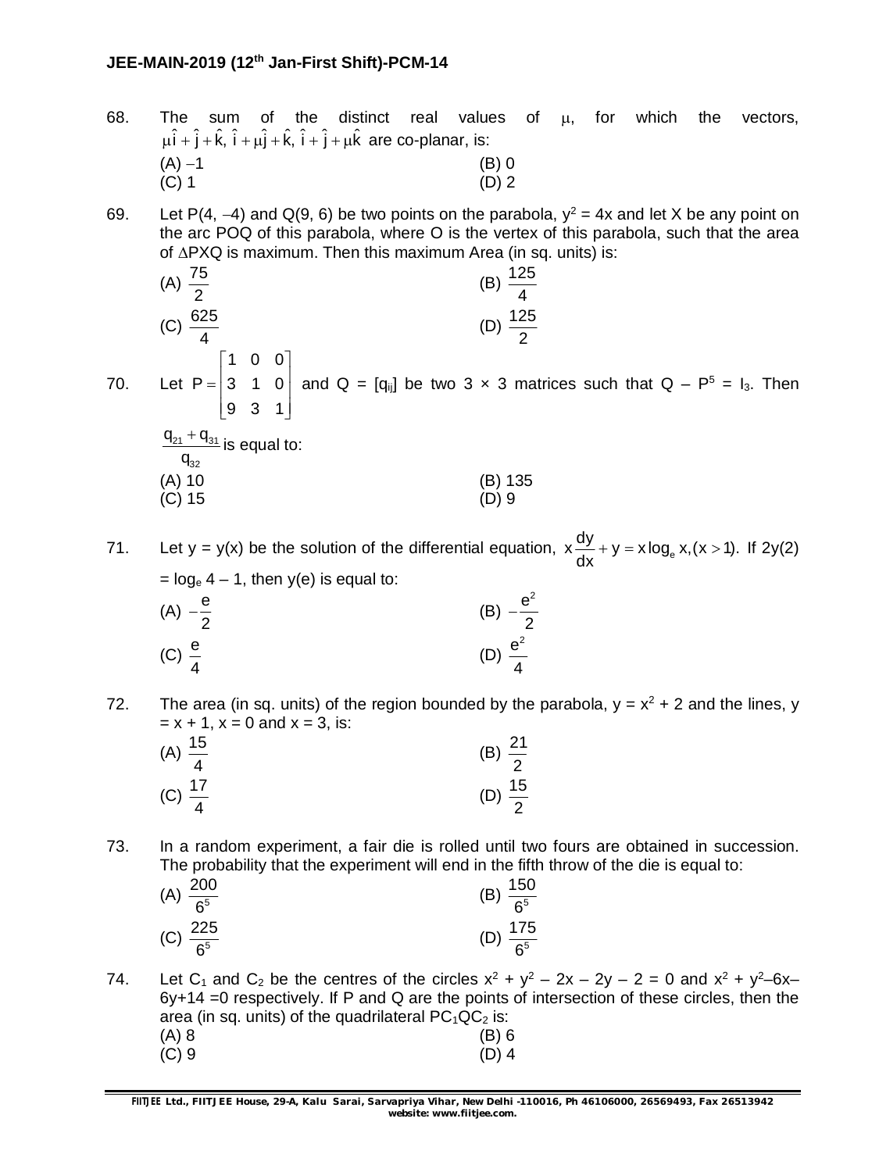- 68. The sum of the distinct real values of  $\mu$ , for which the vectors,  $\mu \hat{i} + \hat{j} + \hat{k}$ ,  $\hat{i} + \mu \hat{j} + \hat{k}$ ,  $\hat{i} + \hat{j} + \mu \hat{k}$  are co-planar, is: (A)  $-1$  (B) 0<br>(C) 1 (D) 2  $(C)$  1 (D) 2
- 69. Let P(4, -4) and Q(9, 6) be two points on the parabola,  $y^2 = 4x$  and let X be any point on the arc POQ of this parabola, where O is the vertex of this parabola, such that the area of  $\triangle$ PXQ is maximum. Then this maximum Area (in sq. units) is:
- (A)  $\frac{75}{9}$ 2 (B)  $\frac{125}{4}$ 4  $(C) \frac{625}{4}$ 4 (D)  $\frac{125}{2}$ 2 70. Let 1 0 0  $P = | 3 \t1 \t0$ 9 3 1  $\begin{bmatrix} 1 & 0 & 0 \end{bmatrix}$  $= 3 \cdot 1 \cdot 0$  $\begin{bmatrix} 9 & 3 & 1 \end{bmatrix}$ and  $Q = [q_{ij}]$  be two 3 x 3 matrices such that  $Q - P^5 = I_3$ . Then

$$
\frac{q_{21} + q_{31}}{q_{32}}
$$
 is equal to:  
\n(A) 10  
\n(B) 135  
\n(C) 15  
\n(D) 9

71. Let y = y(x) be the solution of the differential equation,  $x \frac{dy}{dx} + y = x \log_e x, (x > 1)$ . dx  $+ y = x \log_e x, (x > 1)$ . If 2y(2)  $=$  log<sub>e</sub> 4 – 1, then y(e) is equal to:

- $(A) \frac{e}{a}$ 2  $-\frac{6}{3}$  (B)  $e^2$ 2  $\overline{a}$  $(C) \frac{e}{2}$ 4 (D)  $e^2$ 4
- 72. The area (in sq. units) of the region bounded by the parabola,  $y = x^2 + 2$  and the lines, y  $x = x + 1$ ,  $x = 0$  and  $x = 3$ , is:

| (A) $\frac{15}{4}$ | (B) $\frac{21}{2}$ |
|--------------------|--------------------|
| (C) $\frac{17}{4}$ | (D) $\frac{15}{2}$ |

73. In a random experiment, a fair die is rolled until two fours are obtained in succession. The probability that the experiment will end in the fifth throw of the die is equal to:

| (A) $\frac{200}{6^5}$ | (B) $\frac{150}{6^5}$ |
|-----------------------|-----------------------|
| (C) $\frac{225}{6^5}$ | (D) $\frac{175}{6^5}$ |

74. Let C<sub>1</sub> and C<sub>2</sub> be the centres of the circles  $x^2 + y^2 - 2x - 2y - 2 = 0$  and  $x^2 + y^2 - 6x - 1$ 6y+14 =0 respectively. If P and Q are the points of intersection of these circles, then the area (in sq. units) of the quadrilateral  $PC<sub>1</sub>QC<sub>2</sub>$  is: (A) 8 (B) 6 (C) 9 (D) 4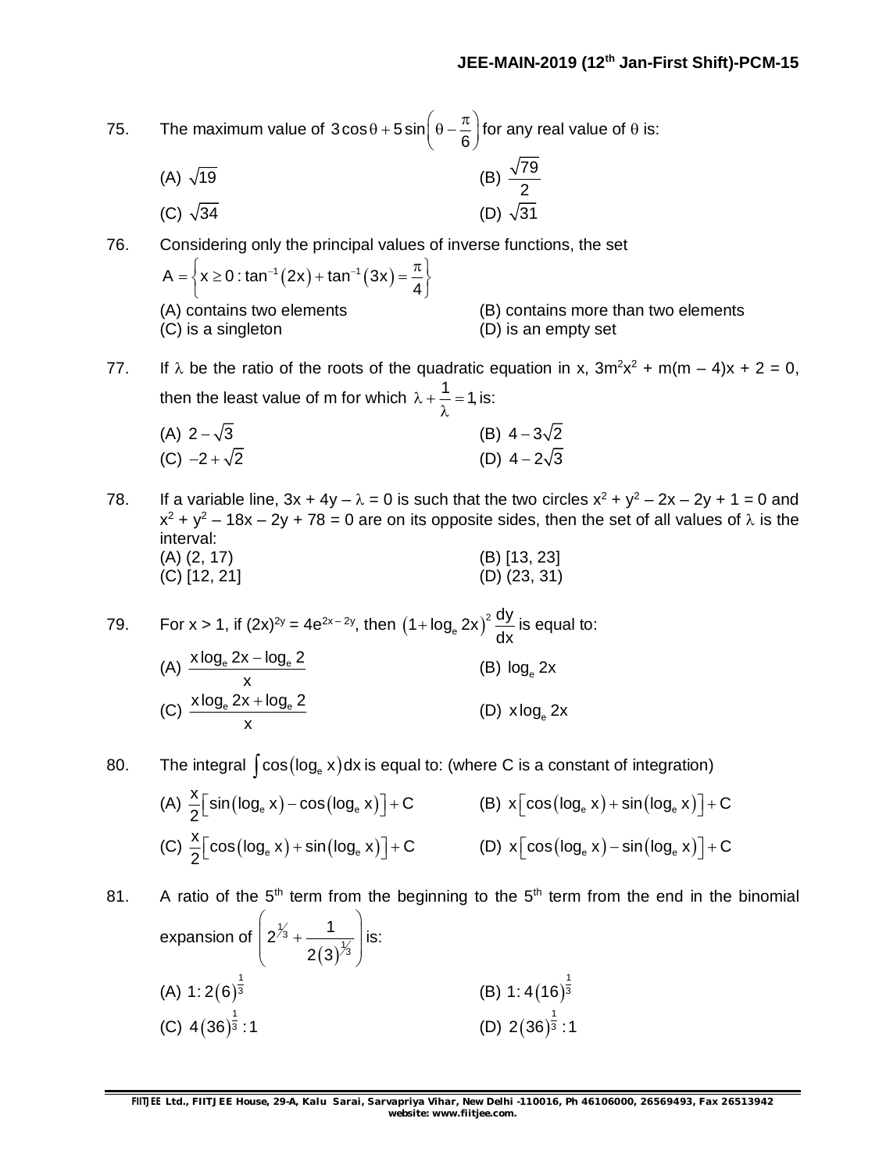75. The maximum value of  $3\cos\theta + 5\sin\theta$ 6  $\theta$  + 5 sin $\left(\theta - \frac{\pi}{6}\right)$  for any real value of  $\theta$  is: (A)  $\sqrt{19}$  (B)  $\frac{\sqrt{79}}{2}$ 2 (C)  $\sqrt{34}$  (D)  $\sqrt{31}$ 76. Considering only the principal values of inverse functions, the set  $A = \{x \ge 0 : \tan^{-1}(2x) + \tan^{-1}(3x)\}$ 4  $=\left\{x\geq 0:\tan^{-1}(2x)+\tan^{-1}(3x)=\frac{\pi}{4}\right\}$ (A) contains two elements (B) contains more than two elements (C) is a singleton (D) is an empty set 77. If  $\lambda$  be the ratio of the roots of the quadratic equation in x,  $3m^2x^2 + m(m-4)x + 2 = 0$ , then the least value of m for which  $\lambda + \frac{1}{\lambda} = 1$ , λ is: (A)  $2-\sqrt{3}$  (B)  $4-3\sqrt{2}$ (C)  $-2+\sqrt{2}$  (D)  $4-2\sqrt{3}$ 78. If a variable line,  $3x + 4y - \lambda = 0$  is such that the two circles  $x^2 + y^2 - 2x - 2y + 1 = 0$  and  $x^2 + y^2 - 18x - 2y + 78 = 0$  are on its opposite sides, then the set of all values of  $\lambda$  is the interval: (A) (2, 17) (B) [13, 23] (C) [12, 21] (D) (23, 31) 79. For x > 1, if  $(2x)^{2y} = 4e^{2x-2y}$ , then  $(1 + \log_e 2x)^2$ 1 +  $\log_e 2x$ <sup>2</sup>  $\frac{dy}{dx}$ dx +  $log_e 2x$ )<sup>2</sup>  $\frac{dy}{dx}$  is equal to: (A)  $\frac{x \log_e 2x - \log_e 2}{x}$ x -(B)  $\log_{\rm e} 2{\mathsf x}$ (C)  $\frac{x \log_e 2x + \log_e 2}{x}$ x  $^{+}$ (D) xlog<sub>e</sub> 2x 80. The integral <sup>e</sup> cos log x dx is equal to: (where C is a constant of integration) (A)  $\frac{x}{2} \left[ sin(log_e x) - cos(log_e x) \right] + C$  $\frac{1}{2}$  sin(log<sub>e</sub> x) – cos(log<sub>e</sub> x)  $\rfloor$  + C  $\qquad$  (B) x  $\lfloor \cos(\log_e x) + \sin(\log_e x) \rfloor + C$  $(C)$   $\frac{x}{2}$   $\left[\cos(\log_e x) + \sin(\log_e x)\right] + C$  $\frac{1}{2}$   $\lfloor \cos(\log_{e} x) + \sin(\log_{e} x) \rfloor + C$  (D)  $x \lfloor \cos(\log_{e} x) - \sin(\log_{e} x) \rfloor + C$ 81. A ratio of the  $5<sup>th</sup>$  term from the beginning to the  $5<sup>th</sup>$  term from the end in the binomial expansion of  $\left(2^{1/3}+\frac{1}{\sqrt{1}}\right)$  is:

(A) 
$$
1:2(6)^{\frac{1}{3}}
$$
  
\n(B)  $1:4(16)^{\frac{1}{3}}$   
\n(C)  $4(36)^{\frac{1}{3}}:1$   
\n(D)  $2(36)^{\frac{1}{3}}:1$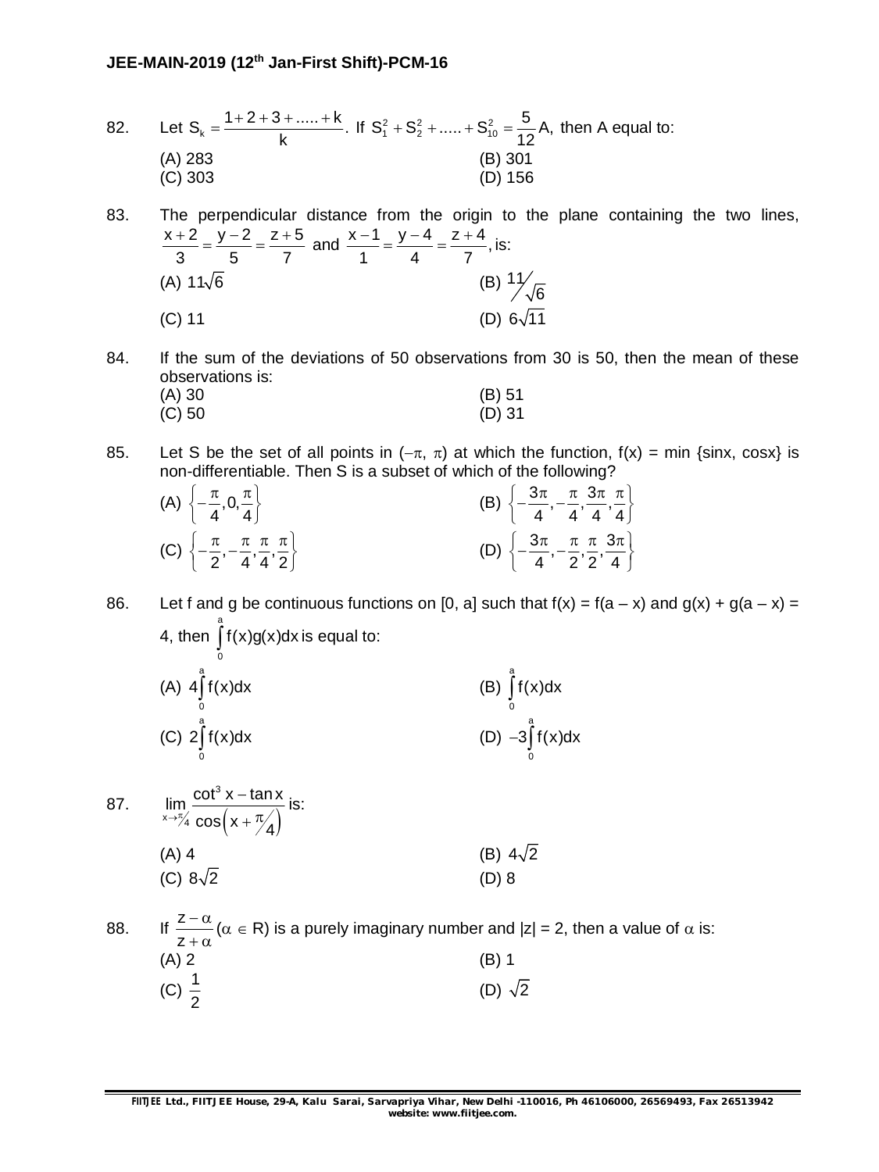- 82. Let  $S_k = \frac{1+2+3+....+k}{k}$ . k  $=\frac{1+2+3+....+k}{k}$ . If  $S_1^2 + S_2^2 + ...... + S_{10}^2$  $S_1^2 + S_2^2 + \dots + S_{10}^2 = \frac{5}{12} A$ , 12  $t + S_2^2 + \dots + S_{10}^2 = \frac{S_2}{100}$  A, then A equal to: (A) 283 (B) 301 (C) 303 (D) 156
- 83. The perpendicular distance from the origin to the plane containing the two lines,  $x + 2$   $y - 2$   $z + 5$ 3 5 7  $\frac{+2}{2} = \frac{y-2}{z} = \frac{z+5}{z}$  and  $\frac{x-1}{z} = \frac{y-4}{z} = \frac{z+4}{z}$ , 1 4 7  $\frac{-1}{1} = \frac{y-4}{1} = \frac{z+4}{7}$ , is: (A)  $11\sqrt{6}$ (B)  $\frac{11}{\sqrt{6}}$ (C) 11 (D)  $6\sqrt{11}$
- 84. If the sum of the deviations of 50 observations from 30 is 50, then the mean of these observations is:
	- (A) 30 (B) 51 (C) 50 (D) 31
- 85. Let S be the set of all points in  $(-\pi, \pi)$  at which the function,  $f(x) = min$  {sinx, cosx} is non-differentiable. Then S is a subset of which of the following?

| (A) $\left\{-\frac{\pi}{4}, 0, \frac{\pi}{4}\right\}$ |                                                                                |  | (B) $\left\{-\frac{3\pi}{4},-\frac{\pi}{4},\frac{3\pi}{4},\frac{\pi}{4}\right\}$    |
|-------------------------------------------------------|--------------------------------------------------------------------------------|--|-------------------------------------------------------------------------------------|
|                                                       | (C) $\left\{-\frac{\pi}{2},-\frac{\pi}{4},\frac{\pi}{4},\frac{\pi}{2}\right\}$ |  | (D) $\left\{-\frac{3\pi}{4}, -\frac{\pi}{2}, \frac{\pi}{2}, \frac{3\pi}{4}\right\}$ |

86. Let f and g be continuous functions on [0, a] such that  $f(x) = f(a - x)$  and  $g(x) + g(a - x) = f(a - x)$ 4, then a  $\int f(x)g(x)dx$  is equal to:

| (A) $4\int f(x)dx$ | (B) $\int f(x) dx$    |
|--------------------|-----------------------|
| (C) $2\int f(x)dx$ | $(D) -3 \int f(x) dx$ |

87.  $(x + \frac{\pi}{4})$ 3  $x \rightarrow \pi/4$  $\lim_{x \to 0} \frac{\cot^3 x - \tan x}{\sqrt{2}}$  $\rightarrow$ <sup>π</sup>/<sub>4</sub> cos (x +  $\frac{\pi}{4}$ - $+\frac{\pi}{2}$ is: (A) 4 (B)  $4\sqrt{2}$ (C)  $8\sqrt{2}$  (D) 8

88. If  $\frac{z}{z}$ z  $-\alpha$  $+\alpha$  $(\alpha \in \mathsf{R})$  is a purely imaginary number and  $|z| = 2$ , then a value of  $\alpha$  is:  $(A) 2$  (B) 1 (C)  $\frac{1}{2}$ 2 (D)  $\sqrt{2}$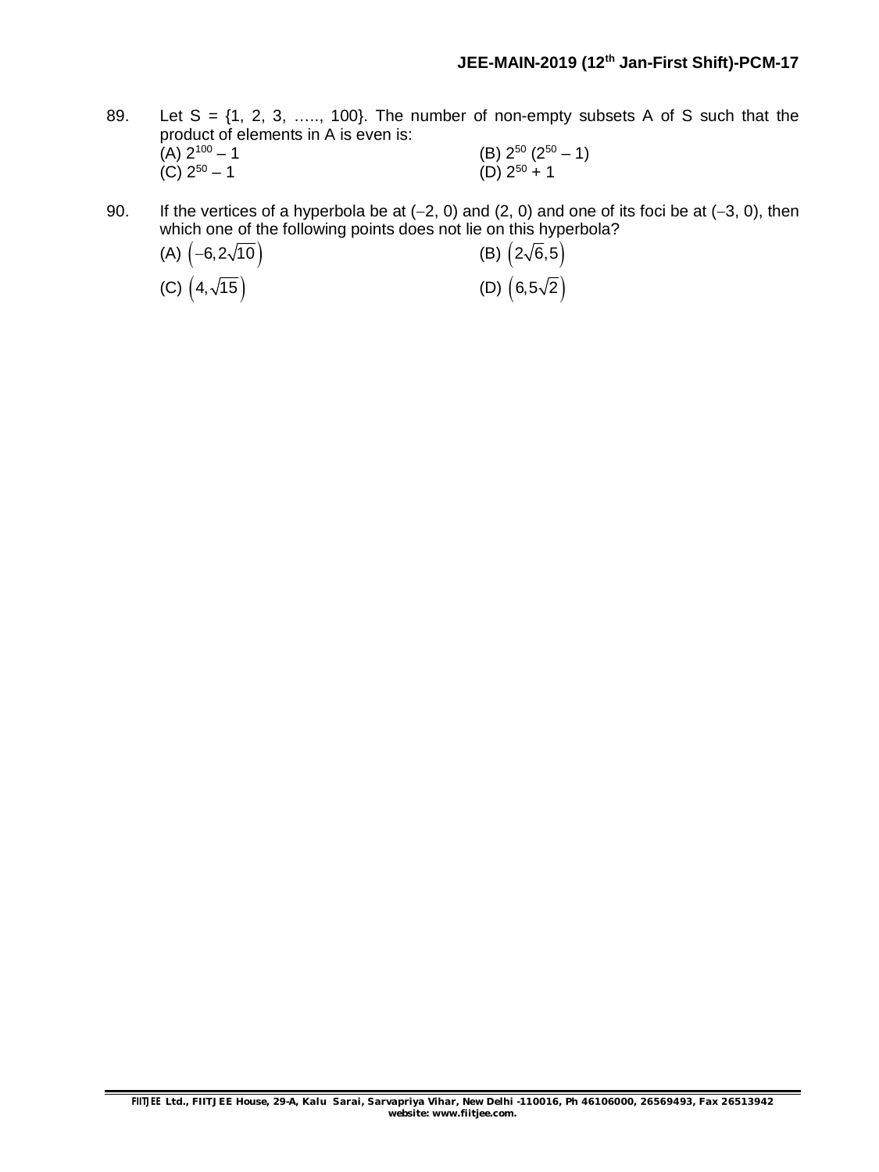- 89. Let  $S = \{1, 2, 3, \ldots, 100\}$ . The number of non-empty subsets A of S such that the product of elements in A is even is:<br>(A)  $2^{100} - 1$ (A)  $2^{100} - 1$  (B)  $2^{50} (2^{50} - 1)$ (C)  $2^{50} - 1$  (D)  $2^{50} + 1$
- 90. If the vertices of a hyperbola be at  $(-2, 0)$  and  $(2, 0)$  and one of its foci be at  $(-3, 0)$ , then which one of the following points does not lie on this hyperbola?

(A)  $\left(-6, 2\sqrt{10}\right)$  (B)  $\left(2\sqrt{6}, 5\right)$ (C)  $(4,\sqrt{15})$  (D)  $(6,5\sqrt{2})$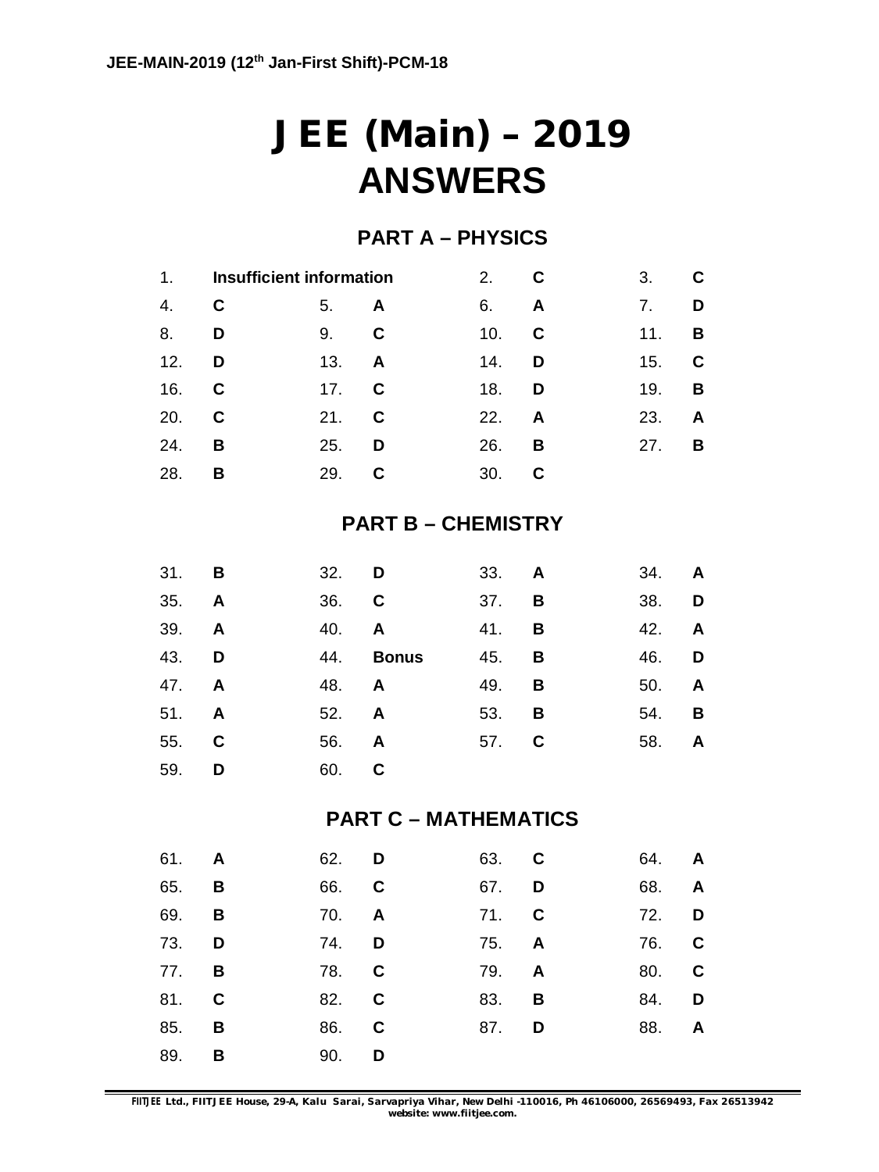# **JEE (Main) – 2019 ANSWERS**

## **PART A – PHYSICS**

| 1 <sub>1</sub> | <b>Insufficient information</b> |     | 2.          | C   | 3.           | C   |             |
|----------------|---------------------------------|-----|-------------|-----|--------------|-----|-------------|
| 4.             | C                               | 5.  | A           | 6.  | $\mathsf{A}$ | 7.  | D           |
| 8.             | D                               | 9.  | $\mathbf c$ | 10. | C            | 11. | B           |
| 12.            | D                               | 13. | A           | 14. | D            | 15. | $\mathbf c$ |
| 16.            | C                               | 17. | C           | 18. | D            | 19. | B           |
| 20.            | C                               | 21. | C           | 22. | A            | 23. | A           |
| 24.            | в                               | 25. | D           | 26. | в            | 27. | B           |
| 28.            | в                               | 29. | C           | 30. |              |     |             |

## **PART B – CHEMISTRY**

| 31. <b>B</b> |   | 32. D |              | 33. <b>A</b> |   | 34.          | $\mathsf{A}$            |
|--------------|---|-------|--------------|--------------|---|--------------|-------------------------|
| 35. <b>A</b> |   | 36. C |              | 37.          | B | 38. <b>D</b> |                         |
| 39. A        |   | 40.   | A            | 41.          | B | 42.          | <b>A</b>                |
| 43. D        |   | 44.   | <b>Bonus</b> | 45.          | B | 46. <b>D</b> |                         |
| 47. A        |   | 48.   | A            | 49.          | B | 50.          | A                       |
| 51. A        |   | 52.   | A            | 53.          | B | 54.          | $\overline{\mathbf{B}}$ |
| 55. C        |   | 56.   | $\mathsf{A}$ | 57. C        |   | 58.          | $\mathsf{A}$            |
| 59.          | D | 60. C |              |              |   |              |                         |

## **PART C – MATHEMATICS**

|   | 64. <b>A</b> |   | 63. C        | 62. D        |   | 61. <b>A</b> |
|---|--------------|---|--------------|--------------|---|--------------|
|   | 68. <b>A</b> |   | 67. D        | 66. C        |   | 65. <b>B</b> |
|   | 72. D        |   | 71. C        | 70. <b>A</b> |   | 69. B        |
|   | 76. C        |   | 75. <b>A</b> | 74. <b>D</b> | D | 73.          |
|   | 80. C        |   | 79. <b>A</b> | 78. C        |   | 77. <b>B</b> |
|   | 84. D        | B | 83.          | 82. C        |   | 81. C        |
| A | 88.          | D | 87.          | 86. C        | B | 85.          |
|   |              |   |              | 90. <b>D</b> | B | 89.          |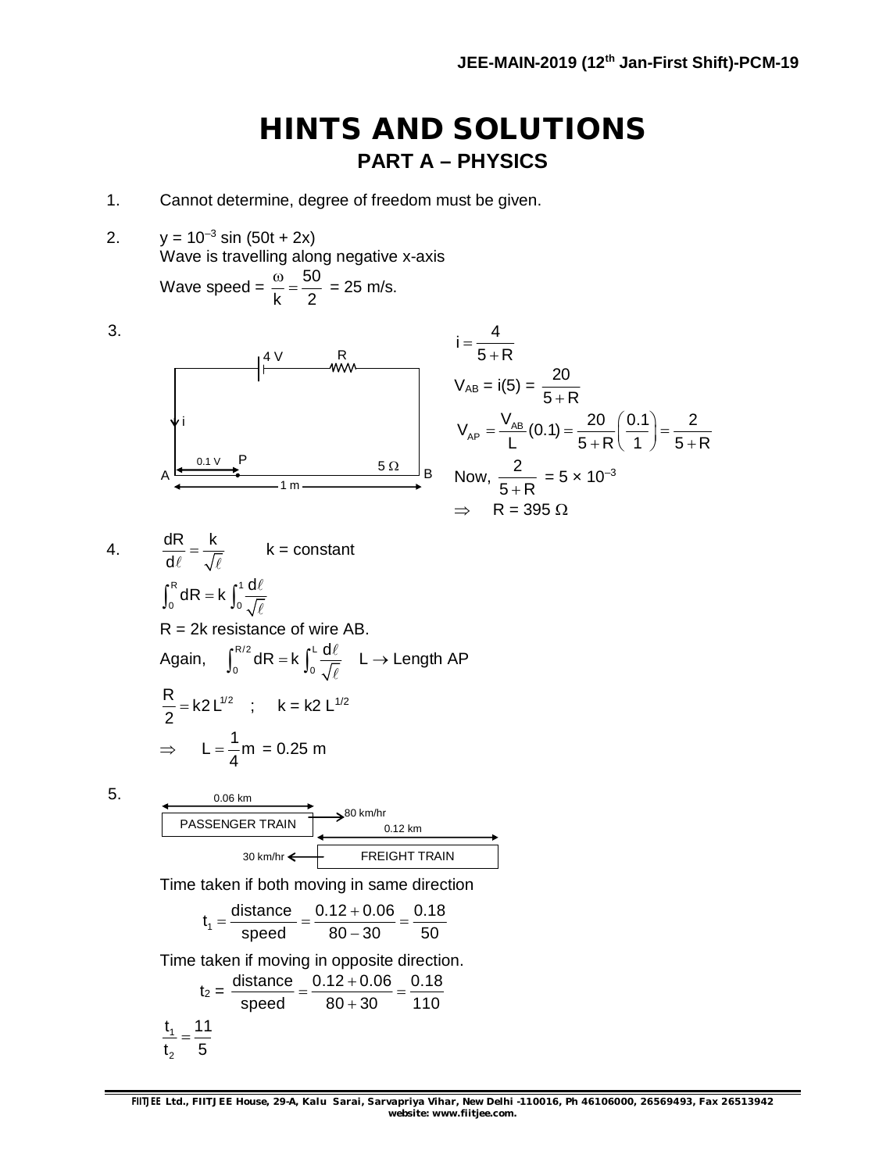## **HINTS AND SOLUTIONS PART A – PHYSICS**

4

- 1. Cannot determine, degree of freedom must be given.
- 2.  $y = 10^{-3} \sin (50t + 2x)$ Wave is travelling along negative x-axis Wave speed =  $\frac{\omega}{1}$  =  $\frac{50}{3}$  $= 25 \, \text{m/s}.$

Wave speed = 
$$
\frac{m}{k} = \frac{m}{2} = 25
$$
 m

$$
\begin{array}{|c|c|}\n & A & B & B \\
\hline\nI_{\text{A}} & \text{A} & \text{A} \\
\hline\nI_{\text{A}} & \text{B} & \text{B} \\
\hline\nI_{\text{A}} & \text{B} & \text{B} \\
\hline\nI_{\text{A}} & \text{B} & \text{B} \\
\hline\nI_{\text{A}} & \text{B} & \text{B} \\
\hline\nI_{\text{A}} & \text{B} & \text{B} \\
\hline\nI_{\text{A}} & \text{B} & \text{B} \\
\hline\nI_{\text{A}} & \text{B} & \text{B} \\
\hline\nI_{\text{A}} & \text{B} & \text{B} \\
\hline\nI_{\text{A}} & \text{B} & \text{B} \\
\hline\nI_{\text{A}} & \text{B} & \text{B} \\
\hline\nI_{\text{A}} & \text{B} & \text{B} \\
\hline\nI_{\text{A}} & \text{B} & \text{B} \\
\hline\nI_{\text{A}} & \text{B} & \text{B} \\
\hline\nI_{\text{A}} & \text{B} & \text{B} \\
\hline\nI_{\text{A}} & \text{B} & \text{B} \\
\hline\nI_{\text{A}} & \text{B} & \text{B} \\
\hline\nI_{\text{A}} & \text{B} & \text{B} \\
\hline\nI_{\text{A}} & \text{B} & \text{B} \\
\hline\nI_{\text{A}} & \text{B} & \text{B} \\
\hline\nI_{\text{A}} & \text{B} & \text{B} \\
\hline\nI_{\text{A}} & \text{B} & \text{B} \\
\hline\nI_{\text{A}} & \text{B} & \text{B} \\
\hline\nI_{\text{A}} & \text{B} & \text{B} \\
\hline\nI_{\text{A}} & \text{B} & \text{B} \\
\hline\nI_{\text{A}} & \text{B} & \text{B} \\
\hline\nI_{\text{A}} & \text{B} & \text{B} \\
\hline\nI_{\text{A}} & \text{B} & \text{B} \\
\hline\nI_{\text{A}} & \text{B} & \text{B} \\
\hline\nI_{\text{A}} & \text{B} & \text{B} \\
\hline\nI_{\text{A}} & \text{B} & \text{
$$

$$
I = \frac{1}{5+R}
$$
  
\n
$$
V_{AB} = i(5) = \frac{20}{5+R}
$$
  
\n
$$
V_{AP} = \frac{V_{AB}}{L}(0.1) = \frac{20}{5+R} \left(\frac{0.1}{1}\right) = \frac{2}{5+R}
$$
  
\nNow,  $\frac{2}{5+R} = 5 \times 10^{-3}$   
\n $\Rightarrow R = 395 \Omega$ 

4.  $\frac{dR}{dt} = \frac{k}{\sqrt{2}}$ d  $=$  $\ell$   $\sqrt{\ell}$ k = constant  $R_{1}$  1 0 J<sub>0</sub>  $\int_0^R dR = k \int_0^1 \frac{d\ell}{\sqrt{\ell}}$  $R = 2k$  resistance of wire AB. Again,  $\int_{0}^{R/2} dR = k \int_{0}^{L}$ 0 0  $\int_0^{R/2} dR = k \int_0^L \frac{d\ell}{\sqrt{\ell}}$ L  $\rightarrow$  Length AP  $\frac{R}{2}$  = k2 L<sup>1/2</sup> 2  $=$  k2 L<sup>1/2</sup> ; k = k2 L<sup>1/2</sup>  $\Rightarrow$  L =  $\frac{1}{4}$ m 4  $= -m = 0.25$  m

3.

5. 0.06 km PASSENGER TRAIN | 20012 km FREIGHT TRAIN 30 km/hr 80 km/hr Time taken if both moving in same direction  $t_1 = \frac{\text{distance}}{\text{speed}} = \frac{0.12 + 0.06}{80 - 30} = \frac{0.18}{50}$ speed 80 30 50  $=\frac{\text{distance}}{1}=\frac{0.12+0.06}{0.00000}=$  $\overline{a}$ Time taken if moving in opposite direction.  $t_2 = \frac{\text{distance}}{\text{distance}} = \frac{0.12 + 0.06}{0.08 \times 0.06} = \frac{0.18}{110}$ speed 80+30 110  $=\frac{0.12+0.06}{0.000}=\frac{1}{2}$  $\ddot{}$ 1 2  $t, 11$  $t<sub>2</sub>$  5  $=$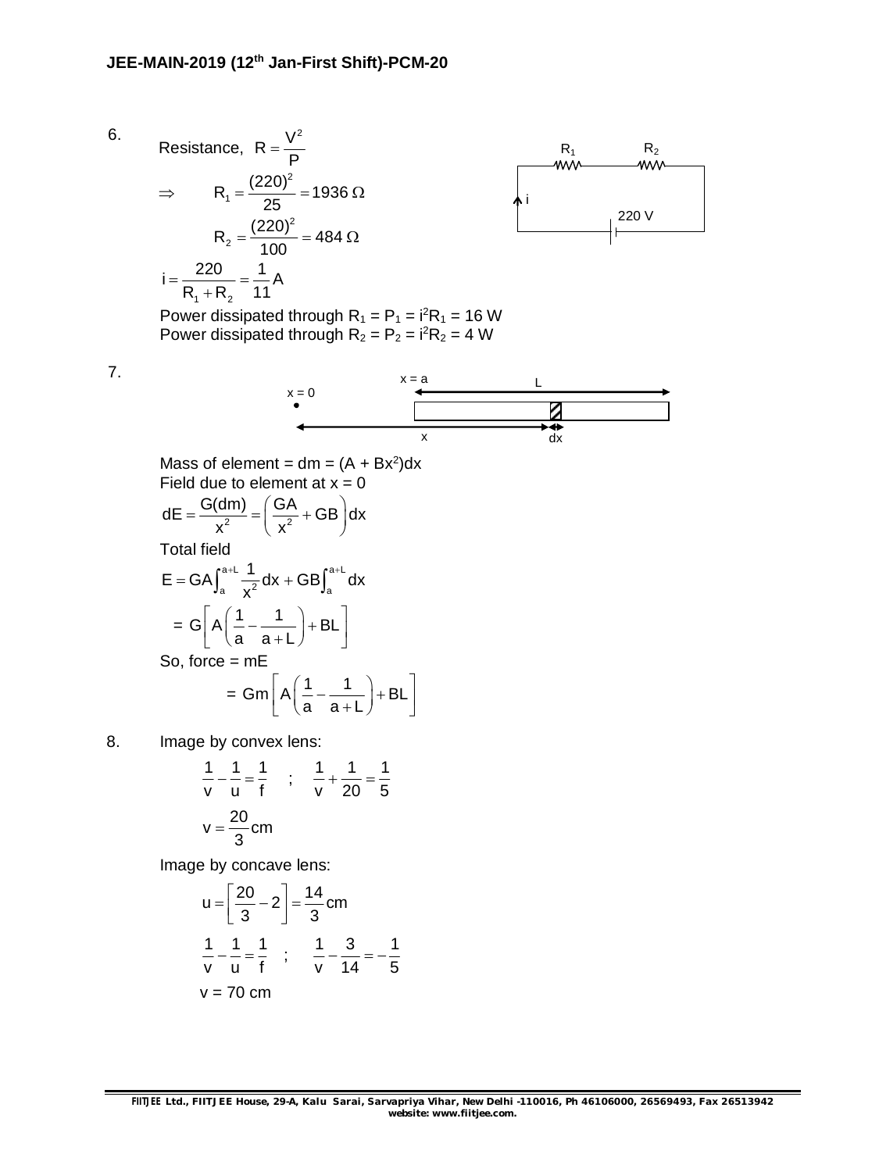Resistance,  $R = \frac{V^2}{R}$ P  $=$  $\Rightarrow$ 2  $R_1 = \frac{(220)^2}{35} = 1936$ 25  $=\frac{(220)}{25}=1936 \Omega$ 2  $R_2 = \frac{(220)^2}{100} = 484$ 100  $=\frac{(220)}{100}$  = 484  $\Omega$  $1 + 2$  $i = \frac{220}{2 \cdot 2} = \frac{1}{4}$ A  $R_1 + R_2$  11  $=\frac{\text{ln}0}{\text{ln}0}= ^{+}$ 



Power dissipated through  $R_1 = P_1 = i^2R_1 = 16$  W Power dissipated through  $R_2 = P_2 = i^2R_2 = 4$  W

7.

6.



Mass of element =  $dm = (A + Bx^2)dx$ Field due to element at  $x = 0$  $dE = \frac{G(dm)}{x^2} = \left(\frac{GA}{x^2} + GB\right)dx$  $=\frac{G(dm)}{x^2} = \left(\frac{GA}{x^2} + GB\right)d$ 

 $x^2$   $\left(x^2\right)$ Total field

$$
E = GA \int_{a}^{a+L} \frac{1}{x^2} dx + GB \int_{a}^{a+L} dx
$$
  
=  $G\left[A\left(\frac{1}{a} - \frac{1}{a+L}\right) + BL\right]$   
So, force = mE  
=  $Gm\left[A\left(\frac{1}{a} - \frac{1}{a+L}\right) + BL\right]$ 

8. Image by convex lens:

$$
\frac{1}{v} - \frac{1}{u} = \frac{1}{f} \quad ; \quad \frac{1}{v} + \frac{1}{20} = \frac{1}{5}
$$
  

$$
v = \frac{20}{3} \text{cm}
$$

a a+L

Image by concave lens:

$$
u = \left[\frac{20}{3} - 2\right] = \frac{14}{3} \text{ cm}
$$
  

$$
\frac{1}{v} - \frac{1}{u} = \frac{1}{f} \quad ; \quad \frac{1}{v} - \frac{3}{14} = -\frac{1}{5}
$$
  
v = 70 cm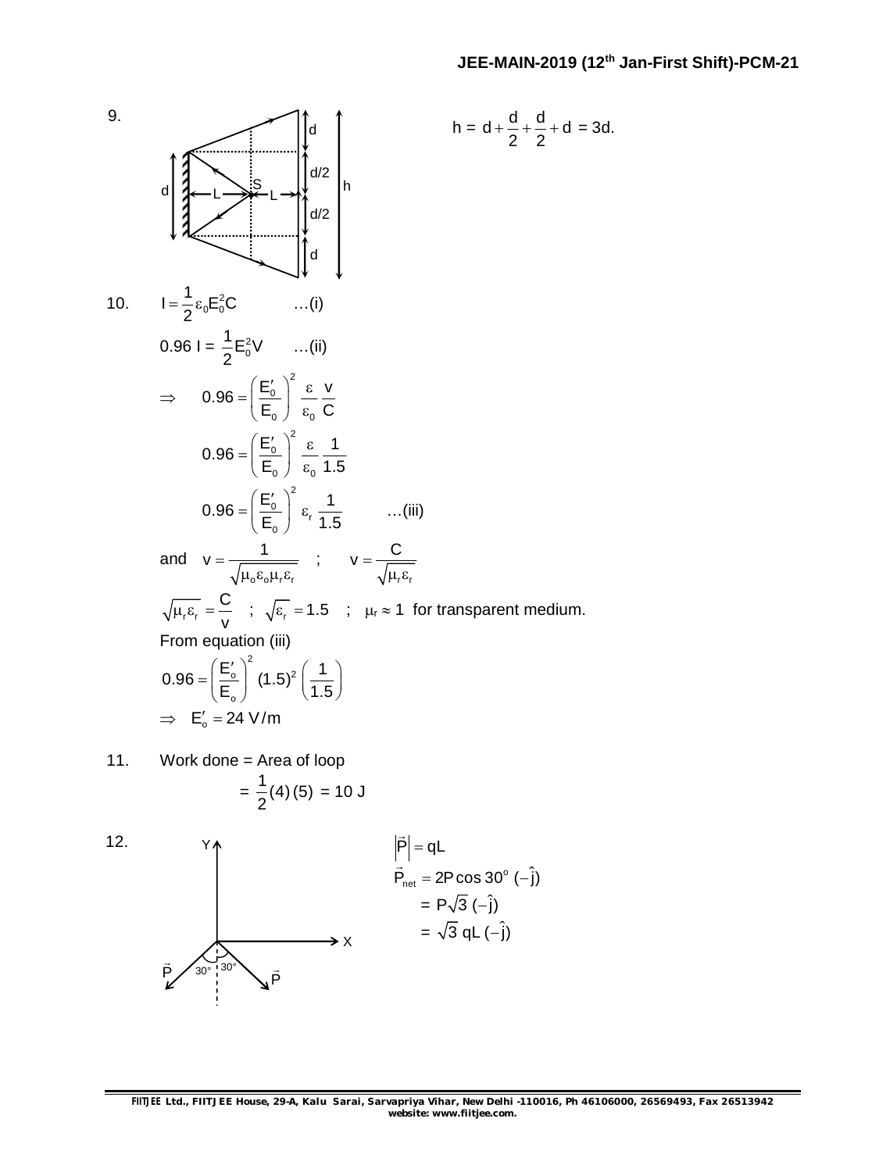

11. Work done = Area of loop  $=\frac{1}{6}(4)(5)$ 2 = 10 J

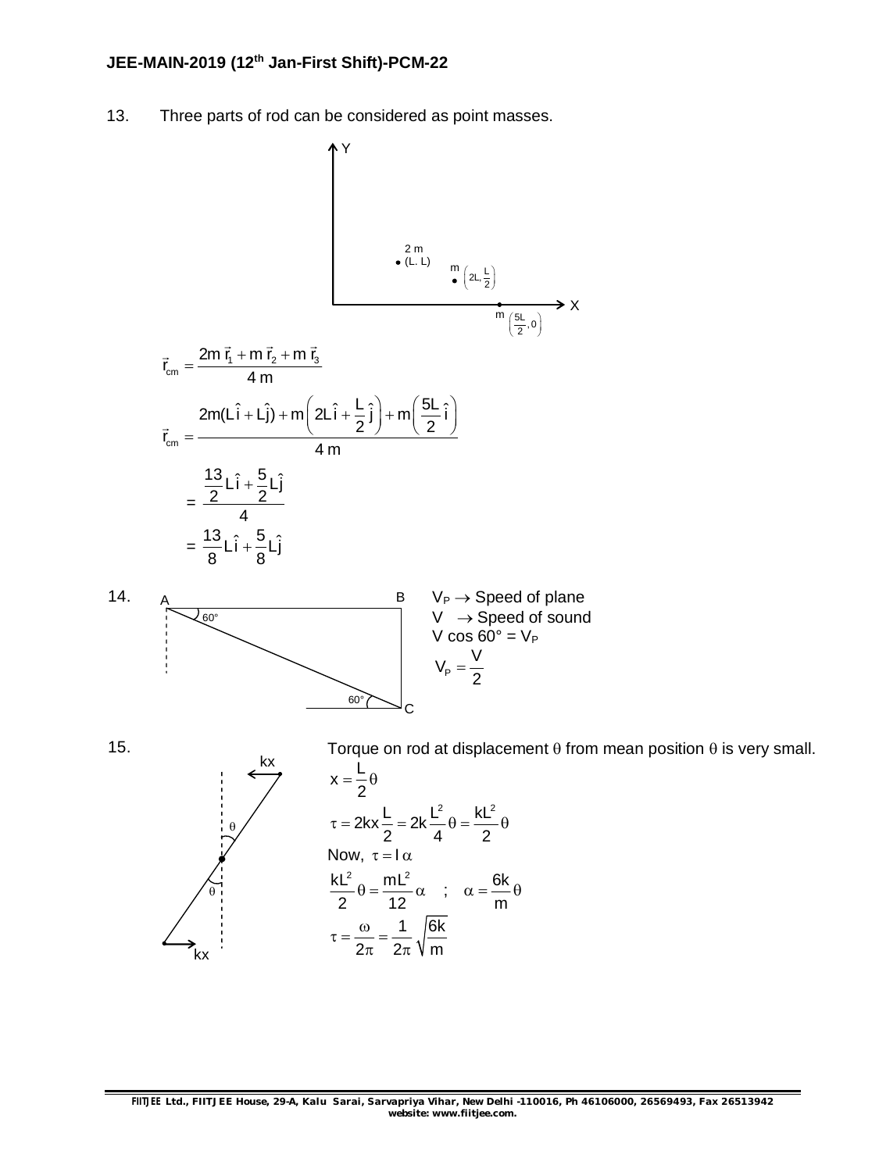### **JEE-MAIN-2019 (12 th Jan-First Shift)-PCM-22**

13. Three parts of rod can be considered as point masses.





15.

Torque on rod at displacement  $\theta$  from mean position  $\theta$  is very small.



kx

 $x=\frac{L}{a}$ 2  $=\frac{1}{6}\theta$  $2kx - \frac{L}{2} = 2k - \frac{L^2}{2} = \frac{kL^2}{2}$ 2 4 2  $\tau = 2kx - 2k - \theta = \frac{m}{2}$ Now,  $\tau = I \alpha$  $kL^2$  mL<sup>2</sup> 2 12  $\theta = \frac{mL^2}{12} \alpha$  ;  $\alpha = \frac{6k}{12}$ m  $\alpha = \frac{\partial \alpha}{\partial \beta} \theta$ 1 /6k 2 $\pi$  2 $\pi$  V m  $\tau = \frac{\omega}{2} = \pi$  2 $\pi$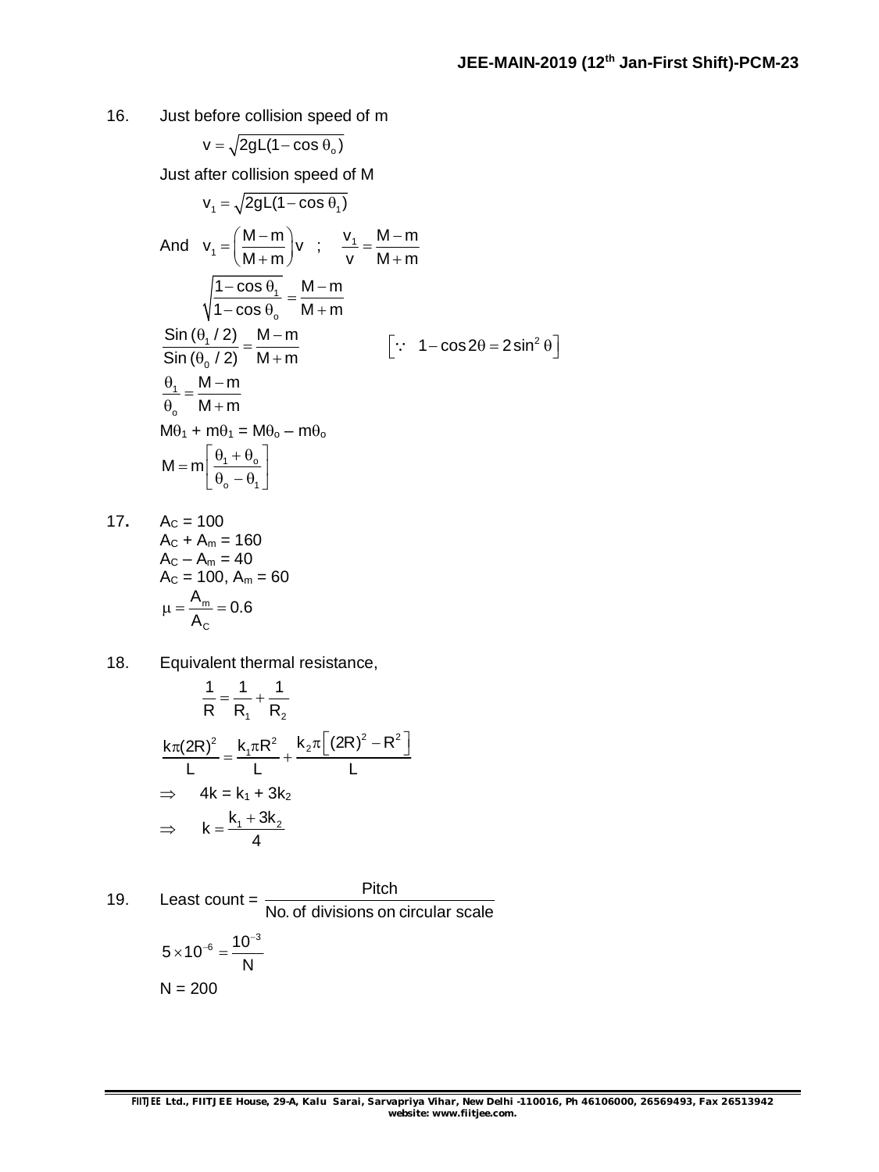16. Just before collision speed of m

$$
v = \sqrt{2gL(1 - \cos \theta_{o})}
$$

Just after collision speed of M

$$
v_1 = \sqrt{2gL(1 - \cos \theta_1)}
$$
  
\nAnd  $v_1 = \left(\frac{M-m}{M+m}\right)v$ ;  $\frac{v_1}{v} = \frac{M-m}{M+m}$   
\n
$$
\sqrt{\frac{1 - \cos \theta_1}{1 - \cos \theta_0}} = \frac{M-m}{M+m}
$$
  
\n
$$
\frac{\sin (\theta_1 / 2)}{\sin (\theta_0 / 2)} = \frac{M-m}{M+m}
$$
 [.:  $1 - \cos 2\theta = 2\sin^2 \theta$ ]  
\n
$$
\frac{\theta_1}{\theta_0} = \frac{M-m}{M+m}
$$
  
\n
$$
M\theta_1 + m\theta_1 = M\theta_0 - m\theta_0
$$
  
\n
$$
M = m\left[\frac{\theta_1 + \theta_0}{\theta_0 - \theta_1}\right]
$$

- 17.  $A_C = 100$  $A_C + A_m = 160$  $A_{C} - A_{m} = 40$  $A_c = 100$ ,  $A_m = 60$ m C  $\frac{A_{m}}{A_{m}} = 0.6$ A  $\mu = \frac{m}{\lambda} = 0$
- 18. Equivalent thermal resistance,

$$
\frac{1}{R} = \frac{1}{R_1} + \frac{1}{R_2}
$$
\n
$$
\frac{k\pi (2R)^2}{L} = \frac{k_1 \pi R^2}{L} + \frac{k_2 \pi [(2R)^2 - R^2]}{L}
$$
\n
$$
\Rightarrow 4k = k_1 + 3k_2
$$
\n
$$
\Rightarrow k = \frac{k_1 + 3k_2}{4}
$$

19. Least count = 
$$
\frac{\text{Pitch}}{\text{No. of divisions on circular scale}}
$$

$$
5 \times 10^{-6} = \frac{10^{-3}}{N}
$$

$$
N = 200
$$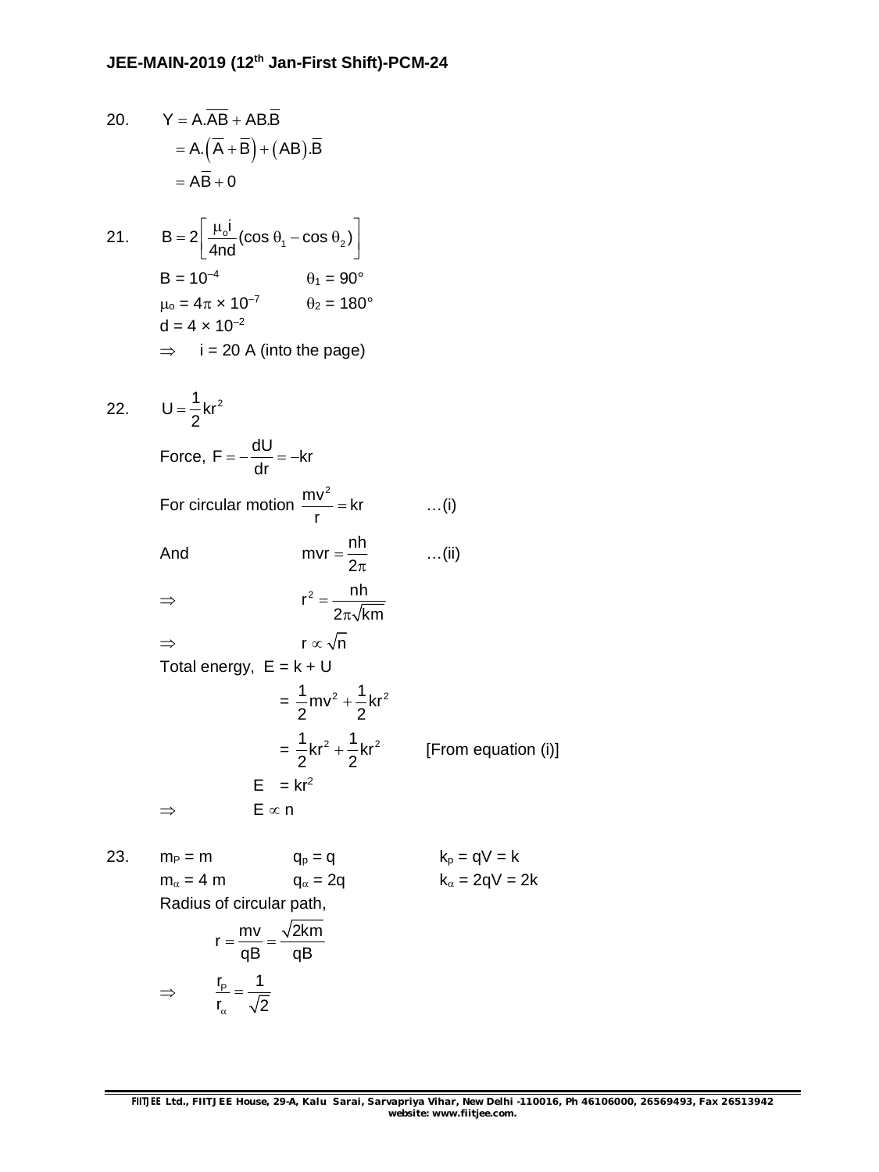20. 
$$
Y = A.\overline{AB} + AB.\overline{B}
$$
  
\n
$$
= A.\overline{(A + B)} + (AB).\overline{B}
$$
  
\n
$$
= \overline{AB} + 0
$$
  
\n21. 
$$
B = 2\overline{\left[\frac{\mu_0 i}{4nd}(\cos \theta_1 - \cos \theta_2)\right]}
$$
  
\n
$$
B = 10^{-4} \qquad \theta_1 = 90^{\circ}
$$
  
\n
$$
\mu_0 = 4\pi \times 10^{-7} \qquad \theta_2 = 180^{\circ}
$$
  
\n
$$
d = 4 \times 10^{-2}
$$
  
\n
$$
\Rightarrow i = 20 A \text{ (into the page)}
$$
  
\n22. 
$$
U = \frac{1}{2}kr^2
$$
  
\nForce,  $F = -\frac{dU}{dr} = -kr$   
\nFor circular motion  $\frac{mv^2}{r} = kr$  ...(i)  
\nAnd  $mvr = \frac{nh}{2\pi}$  ...(ii)  
\n
$$
\Rightarrow r^2 = \frac{nh}{2\pi\sqrt{km}}
$$
  
\n
$$
\Rightarrow r \propto \sqrt{n}
$$
  
\nTotal energy,  $E = k + U$   
\n
$$
= \frac{1}{2}mv^2 + \frac{1}{2}kr^2
$$
 [From equation (i)]  
\n
$$
E = kr^2
$$
  
\n
$$
\Rightarrow E \propto n
$$
  
\n23. 
$$
m_P = m \qquad q_P = q \qquad k_P = qV = k
$$
  
\n
$$
m_{\alpha} = 4 m \qquad q_{\alpha} = 2q \qquad k_{\alpha} = 2qV = 2k
$$
  
\nRadius of circular path,  
\n
$$
r = \frac{mv}{qB} = \frac{\sqrt{2km}}{qB}
$$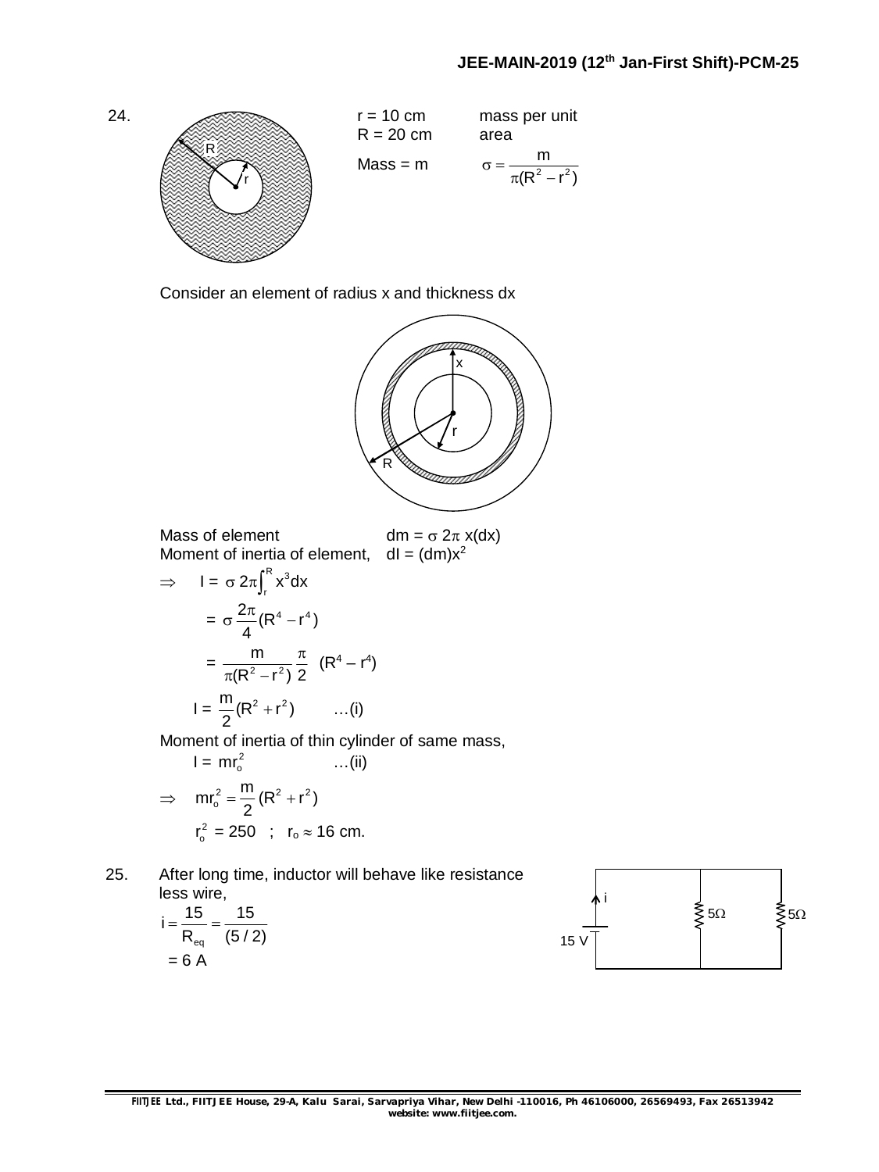#### **JEE-MAIN-2019 (12 th Jan-First Shift)-PCM-25**



Consider an element of radius x and thickness dx



Mass of element  $dm = \sigma 2\pi x(dx)$ Moment of inertia of element,  $\overline{R}$ 

$$
dm = \sigma 2\pi x \, dx
$$
\n
$$
dl = (dm)x^2
$$

$$
\Rightarrow I = \sigma 2\pi \int_{r}^{\infty} x^{3} dx
$$

$$
= \sigma \frac{2\pi}{4} (R^{4} - r^{4})
$$

$$
= \frac{m}{\pi (R^{2} - r^{2})} \frac{\pi}{2} (R^{4} - r^{4})
$$

$$
I = \frac{m}{2} (R^{2} + r^{2}) \qquad ...(i)
$$

Moment of inertia of thin cylinder of same mass,

$$
I = mr_o^2
$$
 ... (ii)  
\n
$$
\Rightarrow mr_o^2 = \frac{m}{2} (R^2 + r^2)
$$
  
\n
$$
r_o^2 = 250 \quad ; \quad r_o \approx 16 \text{ cm.}
$$

25. After long time, inductor will behave like resistance less wire,

$$
i = \frac{15}{R_{eq}} = \frac{15}{(5/2)}
$$
  
= 6 A

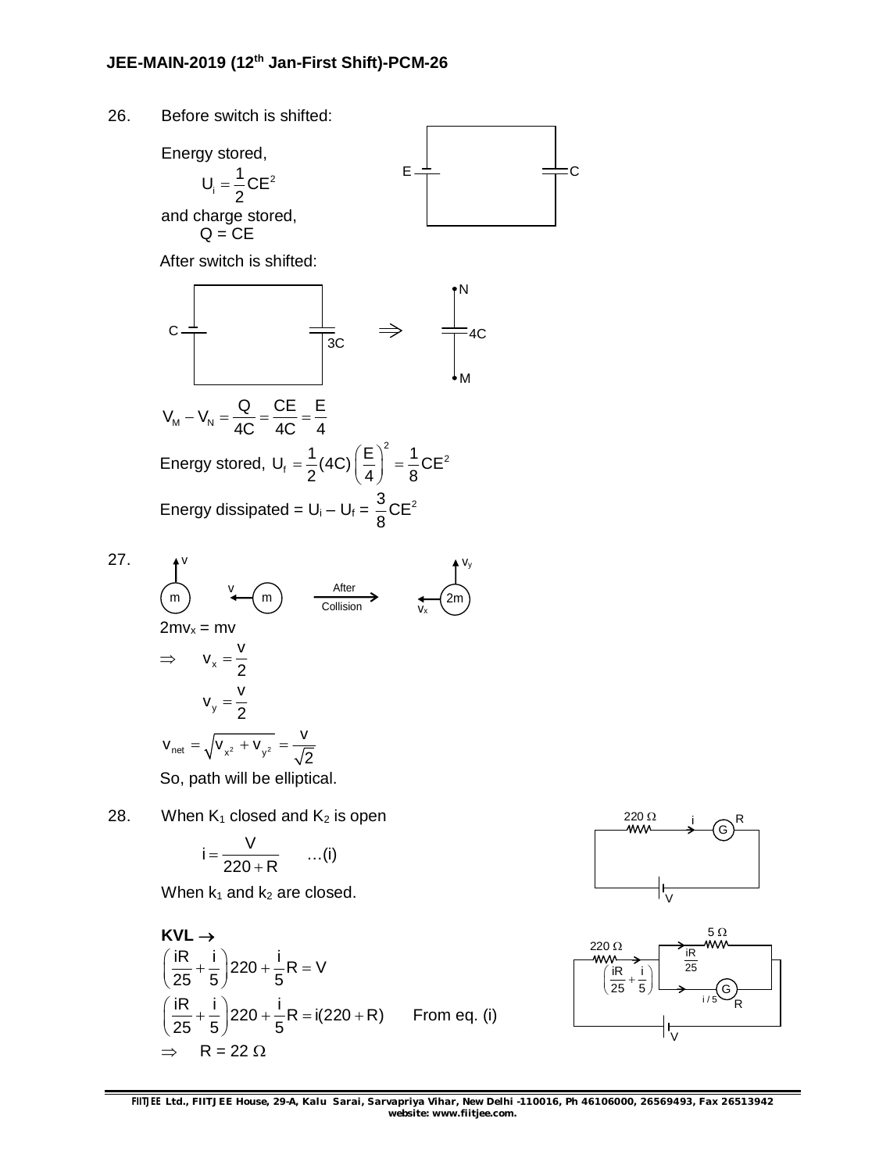

28. When  $K_1$  closed and  $K_2$  is open

$$
i = \frac{V}{220 + R} \qquad \ldots (i)
$$

When  $k_1$  and  $k_2$  are closed.

KVL →  
\n
$$
\left(\frac{iR}{25} + \frac{i}{5}\right)220 + \frac{i}{5}R = V
$$
\n
$$
\left(\frac{iR}{25} + \frac{i}{5}\right)220 + \frac{i}{5}R = i(220 + R)
$$
 From eq. (i)  
\n⇒ R = 22 Ω





**FIITJEE** *Ltd., FIITJEE House, 29-A, Kalu Sarai, Sarvapriya Vihar, New Delhi -110016, Ph 46106000, 26569493, Fax 26513942 website: [www.fiitjee.com.](http://www.fiitjee.com.)*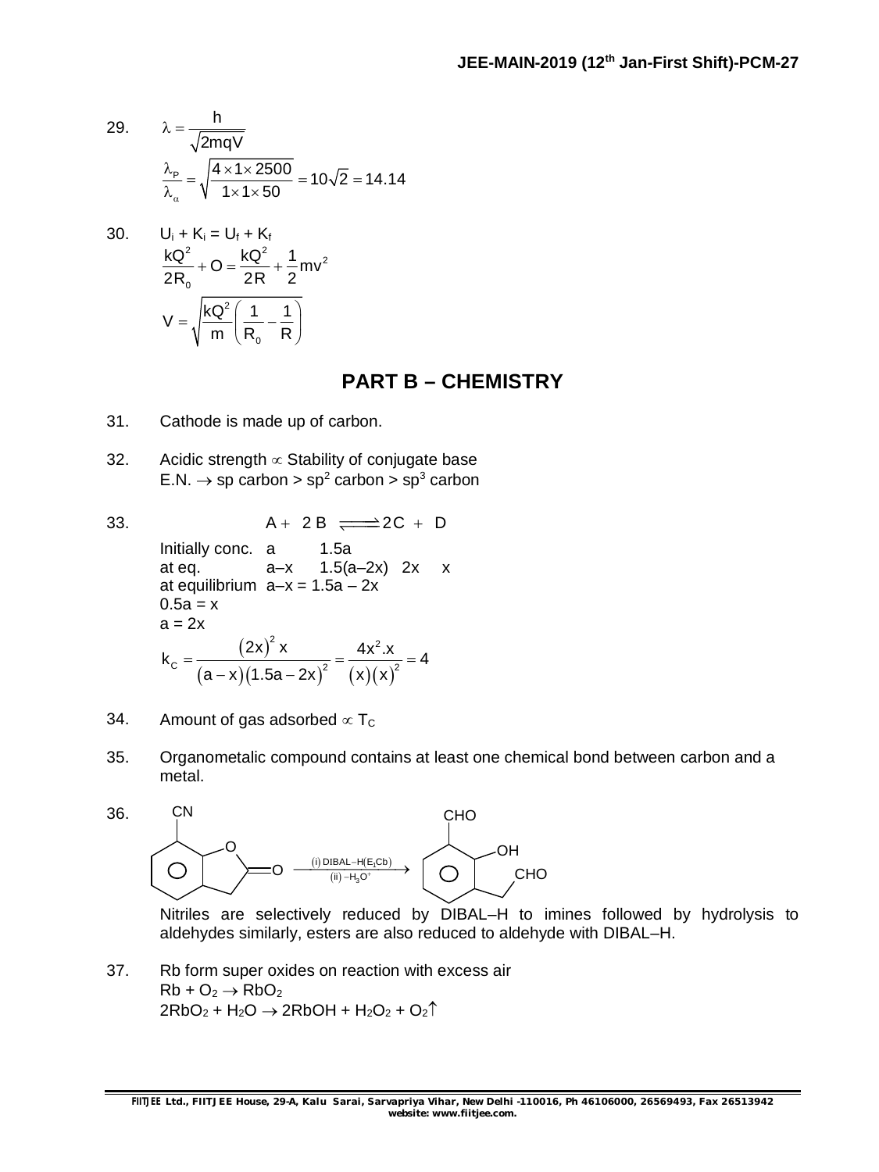29. 
$$
\lambda = \frac{h}{\sqrt{2mqV}}
$$

$$
\frac{\lambda_p}{\lambda_a} = \sqrt{\frac{4 \times 1 \times 2500}{1 \times 1 \times 50}} = 10\sqrt{2} = 14.14
$$

30. 
$$
U_{i} + K_{i} = U_{f} + K_{f}
$$

$$
\frac{kQ^{2}}{2R_{o}} + O = \frac{kQ^{2}}{2R} + \frac{1}{2}mv^{2}
$$

$$
V = \sqrt{\frac{kQ^{2}}{m} \left(\frac{1}{R_{o}} - \frac{1}{R}\right)}
$$

## **PART B – CHEMISTRY**

- 31. Cathode is made up of carbon.
- 32. Acidic strength  $\infty$  Stability of conjugate base  $E.N. \rightarrow sp$  carbon  $> sp^2$  carbon  $> sp^3$  carbon

33.  $A + 2B \implies 2C + D$ Initially conc. a 1.5a at eq.  $a-x$  1.5 $(a-2x)$  2x x at equilibrium  $a-x = 1.5a - 2x$  $0.5a = x$  $a = 2x$ (2x)  $(a-x)(1.5a-2x)^{2}$   $(x)(x)$  $2\sqrt{1-x^2}$  $k_c = \frac{(2x)^2 x}{(a-x)(4.5a-2x)^2} = \frac{4x^2 x}{(x)(x)^2} = 4$  $(a - x)(1.5a - 2x)^2$   $(x)(x)$  $=\frac{(-1)^{n+1}}{n}$  =  $\frac{1}{n}$  =  $\frac{1}{n}$  =  $\frac{1}{n}$ – x)(1.5a – 2

- 34. Amount of gas adsorbed  $\infty$  T<sub>c</sub>
- 35. Organometalic compound contains at least one chemical bond between carbon and a metal.



Nitriles are selectively reduced by DIBAL–H to imines followed by hydrolysis to aldehydes similarly, esters are also reduced to aldehyde with DIBAL–H.

37. Rb form super oxides on reaction with excess air  $Rb + O_2 \rightarrow RbO_2$  $2RbO<sub>2</sub> + H<sub>2</sub>O \rightarrow 2RbOH + H<sub>2</sub>O<sub>2</sub> + O<sub>2</sub>$ <sup>↑</sup>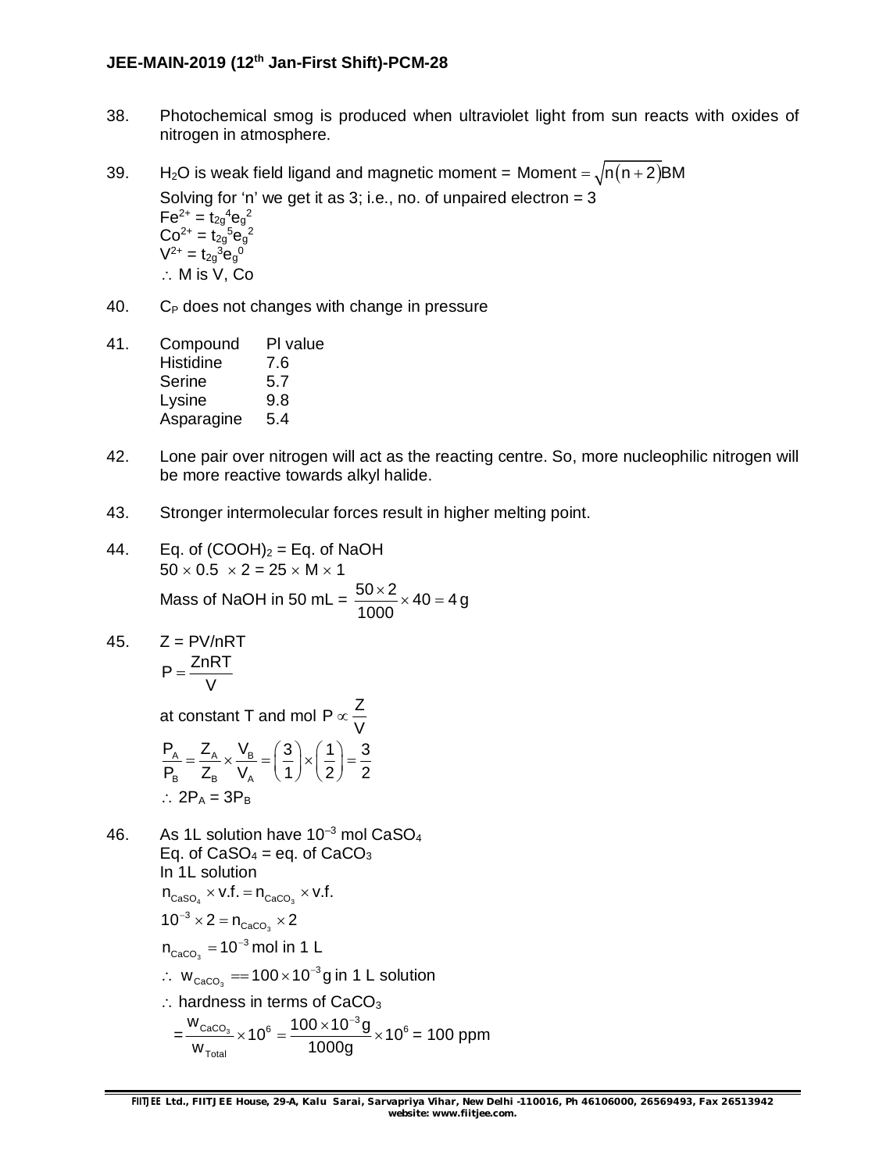### **JEE-MAIN-2019 (12 th Jan-First Shift)-PCM-28**

38. Photochemical smog is produced when ultraviolet light from sun reacts with oxides of nitrogen in atmosphere.

39. H<sub>2</sub>O is weak field ligand and magnetic moment = Moment =  $\sqrt{n(n+2)}$ BM Solving for 'n' we get it as  $3$ ; i.e., no. of unpaired electron =  $3$  $\mathsf{Fe}^{2+} = \mathsf{t_{2g}}^4 \mathsf{e_g}^2$  $Co^{2+} = t_{2g}{}^5e_g{}^2$  $V^{2+} = t_{2g}^{3} e_g^{0}$  $\therefore$  M is V, Co

- $40.$  C<sub>P</sub> does not changes with change in pressure
- 41. Compound Pl value Histidine 7.6 Serine 5.7 Lysine 9.8 Asparagine 5.4
- 42. Lone pair over nitrogen will act as the reacting centre. So, more nucleophilic nitrogen will be more reactive towards alkyl halide.
- 43. Stronger intermolecular forces result in higher melting point.
- 44. Eq. of  $(COOH)_2 = Eq.$  of NaOH  $50 \times 0.5 \times 2 = 25 \times M \times 1$ Mass of NaOH in 50 mL =  $\frac{50 \times 2}{1000} \times 40 = 4$ 1000  $\frac{\times 2}{22}$   $\times$  40 = 4 g
- 45.  $Z = PV/nRT$  $P = \frac{ZnRT}{V}$ V  $=$

at constant T and mol P  $\propto \frac{Z}{U}$ V  $\infty$ 

$$
\frac{P_A}{P_B} = \frac{Z_A}{Z_B} \times \frac{V_B}{V_A} = \left(\frac{3}{1}\right) \times \left(\frac{1}{2}\right) = \frac{3}{2}
$$
  
  $\therefore$  2P\_A = 3P\_B

46. As 1L solution have  $10^{-3}$  mol CaSO<sub>4</sub> Eq. of  $CaSO<sub>4</sub> = eq.$  of  $CaCO<sub>3</sub>$ In 1L solution  $n_{\text{CaSO}_4} \times v.f. = n_{\text{CaCO}_3} \times v.f.$ 3  $10^{-3} \times 2 = n_{\text{CaCO}_3} \times 2$ 3  ${\sf n}_{\sf caCO_3}$  = 10<sup>-3</sup> mol in 1 L ∴  $w_{\text{CaCO}_3} = 100 \times 10^{-3}$ g in 1 L solution  $\therefore$  hardness in terms of CaCO<sub>3</sub>  $=\frac{W_{\text{CaCO}_3}}{W_{\text{CaCO}_3}} \times 10^6 = \frac{100 \times 10^{-3} \text{g}}{1000} \times 10^6$ Total  $\frac{W_{\text{CaCO}_3}}{W} \times 10^6 = \frac{100 \times 10^{-3} \text{g}}{1000} \times 10^6$  $w_{\text{Total}}$  1000g  $\times 10^6 = \frac{100 \times 10^{-3} g}{1000} \times 10^6 = 100$  ppm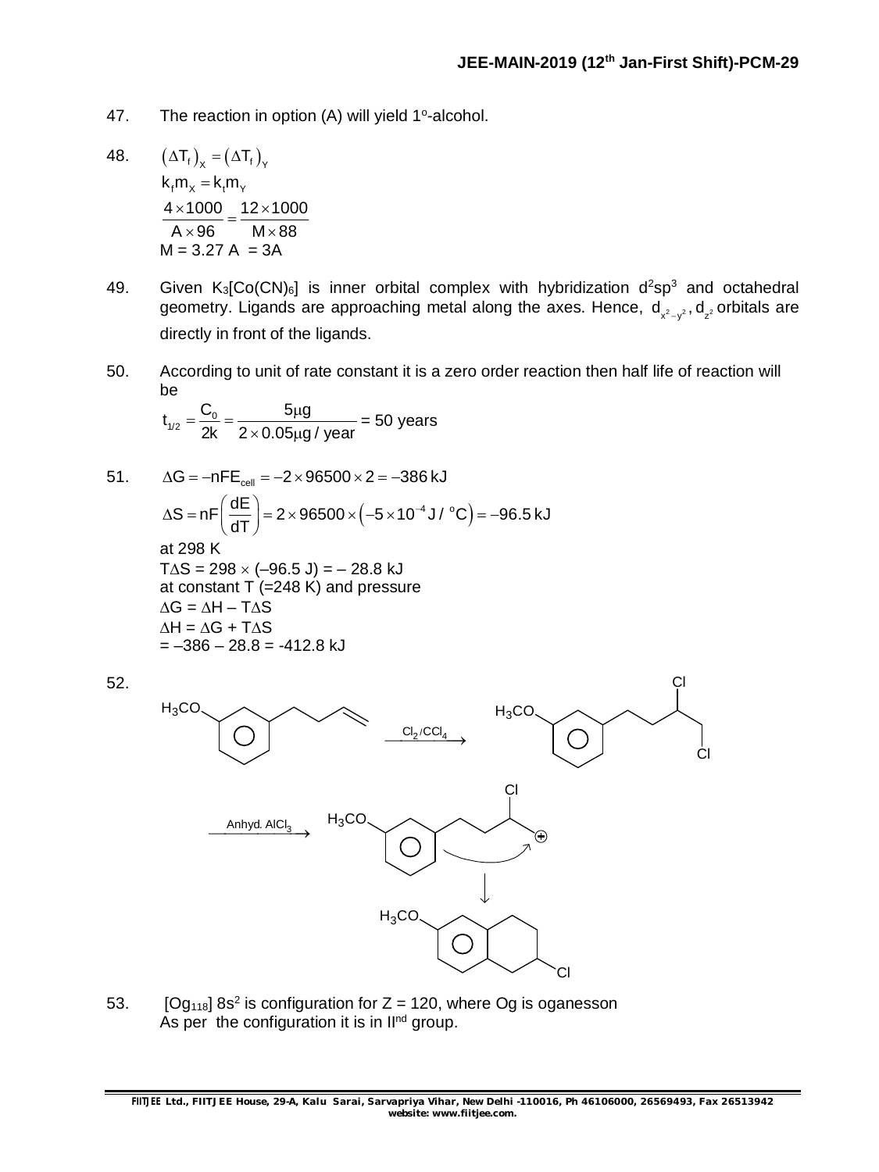- 47. The reaction in option  $(A)$  will yield 1°-alcohol.
- 48.  $(\Delta T_f)_X = (\Delta T_f)_Y$  $k<sub>f</sub> m<sub>x</sub> = k<sub>f</sub> m<sub>y</sub>$  $4 \times 1000$  12 $\times 1000$  $A \times 96$   $M \times 88$  $\frac{\times 1000}{200} = \frac{12 \times 100}{25}$  $\times 96$  M $\times 8$  $M = 3.27 A = 3A$
- 49. Given  $K_3[Co(CN)_6]$  is inner orbital complex with hybridization  $d^2sp^3$  and octahedral geometry. Ligands are approaching metal along the axes. Hence,  $\mathsf{d}_{\mathsf{x}^2\!-\mathsf{y}^2}, \mathsf{d}_{\mathsf{z}^2}$ orbitals are directly in front of the ligands.
- 50. According to unit of rate constant it is a zero order reaction then half life of reaction will be

$$
t_{1/2} = \frac{C_0}{2k} = \frac{5\mu g}{2 \times 0.05\mu g / \text{ year}} = 50 \text{ years}
$$

51.  $\Delta G = -nFE_{cell} = -2 \times 96500 \times 2 = -386 \text{ kJ}$  $S = nF \left( \frac{dE}{dT} \right) = 2 \times 96500 \times (-5 \times 10^{-4} \text{ J} / ^{\circ}\text{C}) = -96.5 \text{ kJ}$  $\Delta S = nF\left(\frac{dE}{dT}\right) = 2 \times 96500 \times \left(-5 \times 10^{-4} \text{ J} / ^{\circ}\text{C}\right) = -9$ at 298 K  $T\Delta S = 298 \times (-96.5 \text{ J}) = -28.8 \text{ kJ}$ at constant T (=248 K) and pressure  $\Delta G = \Delta H - T \Delta S$  $\Delta H = \Delta G + T \Delta S$  $=-386 - 28.8 = -412.8$  kJ



53.  $[Og<sub>118</sub>] 8s<sup>2</sup>$  is configuration for Z = 120, where Og is oganesson As per the configuration it is in  $II<sup>nd</sup>$  group.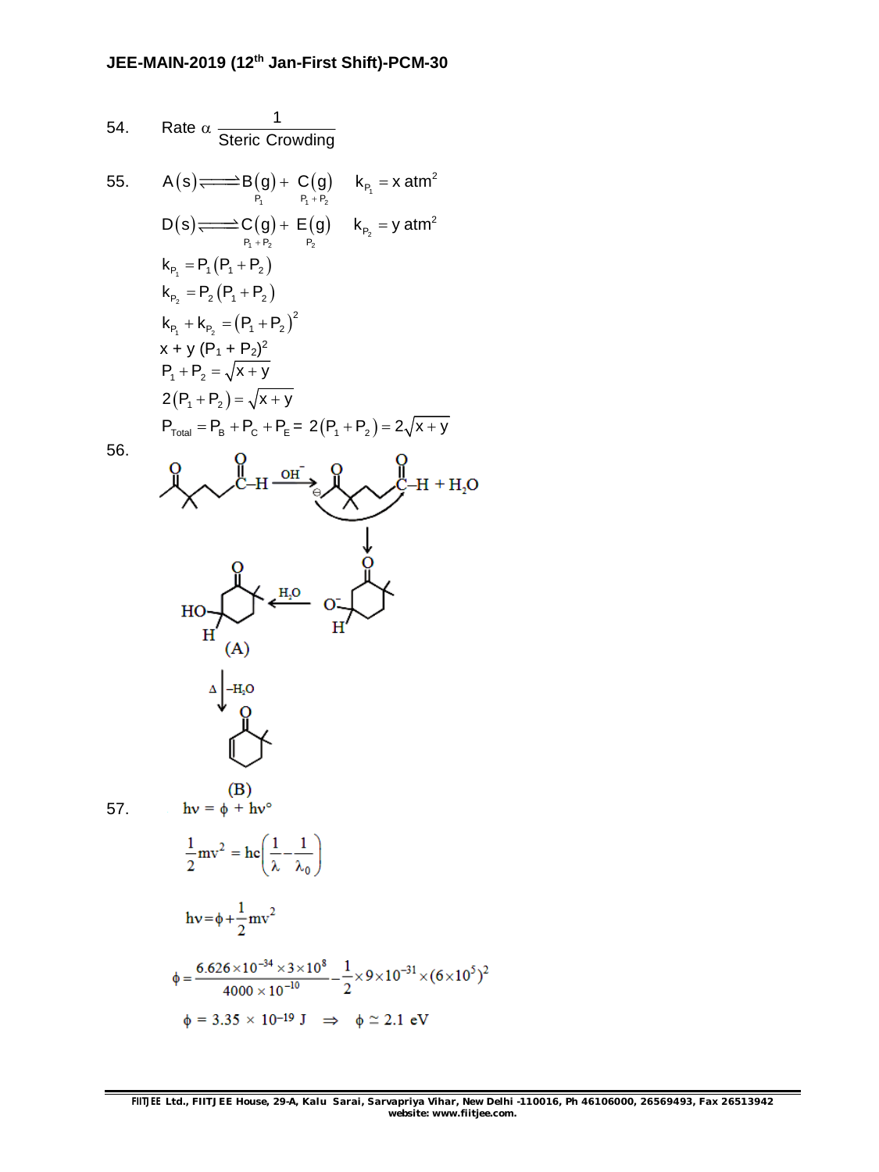54. Rate 
$$
\alpha
$$
  $\frac{1}{\text{steric Corwding}}$   
\n55. A (s)  $\overrightarrow{---}$  B(g) + C(g)  $k_{P_1} = x \text{ atm}^2$   
\n $D(s) \overrightarrow{---}$  C(g) + E(g)  $k_{P_2} = y \text{ atm}^2$   
\n $k_{P_1} = P_1 (P_1 + P_2)$   
\n $k_{P_2} = P_2 (P_1 + P_2)$   
\n $k_{P_2} = P_2 (P_1 + P_2)^2$   
\n $x + y (P_1 + P_2)^2$   
\n $P_1 + P_2 = \sqrt{x + y}$   
\n $2(P_1 + P_2) = \sqrt{x + y}$   
\n $P_{\text{Total}} = P_B + P_C + P_E = 2(P_1 + P_2) = 2\sqrt{x + y}$   
\n56. Q  
\n $Q$   
\n $Q$   
\n $Q$   
\n $Q$   
\n $Q$   
\n $Q$   
\n $Q$   
\n $Q$   
\n $Q$   
\n $Q$   
\n $Q$   
\n $Q$   
\n $Q$   
\n $Q$   
\n $Q$   
\n $Q$   
\n $Q$   
\n $Q$   
\n $Q$   
\n $Q$   
\n $Q$   
\n $Q$   
\n $Q$   
\n $Q$   
\n $Q$   
\n $Q$   
\n $Q$   
\n $Q$   
\n $Q$   
\n $Q$   
\n $Q$   
\n $Q$   
\n $Q$   
\n $Q$   
\n $Q$   
\n $Q$   
\n $Q$   
\n $Q$   
\n $Q$   
\n $Q$   
\n $Q$   
\n $Q$   
\n $Q$   
\n $Q$   
\n $Q$ <

56.



$$
\frac{1}{2}mv^2 = hc\left(\frac{1}{\lambda} - \frac{1}{\lambda_0}\right)
$$

 $(A)$ 

 $\bar{\Delta}$  $-H<sub>2</sub>O$ 

$$
hv = \phi + \frac{1}{2}mv^{2}
$$
  
\n
$$
\phi = \frac{6.626 \times 10^{-34} \times 3 \times 10^{8}}{4000 \times 10^{-10}} - \frac{1}{2} \times 9 \times 10^{-31} \times (6 \times 10^{5})^{2}
$$
  
\n
$$
\phi = 3.35 \times 10^{-19} J \implies \phi \approx 2.1 eV
$$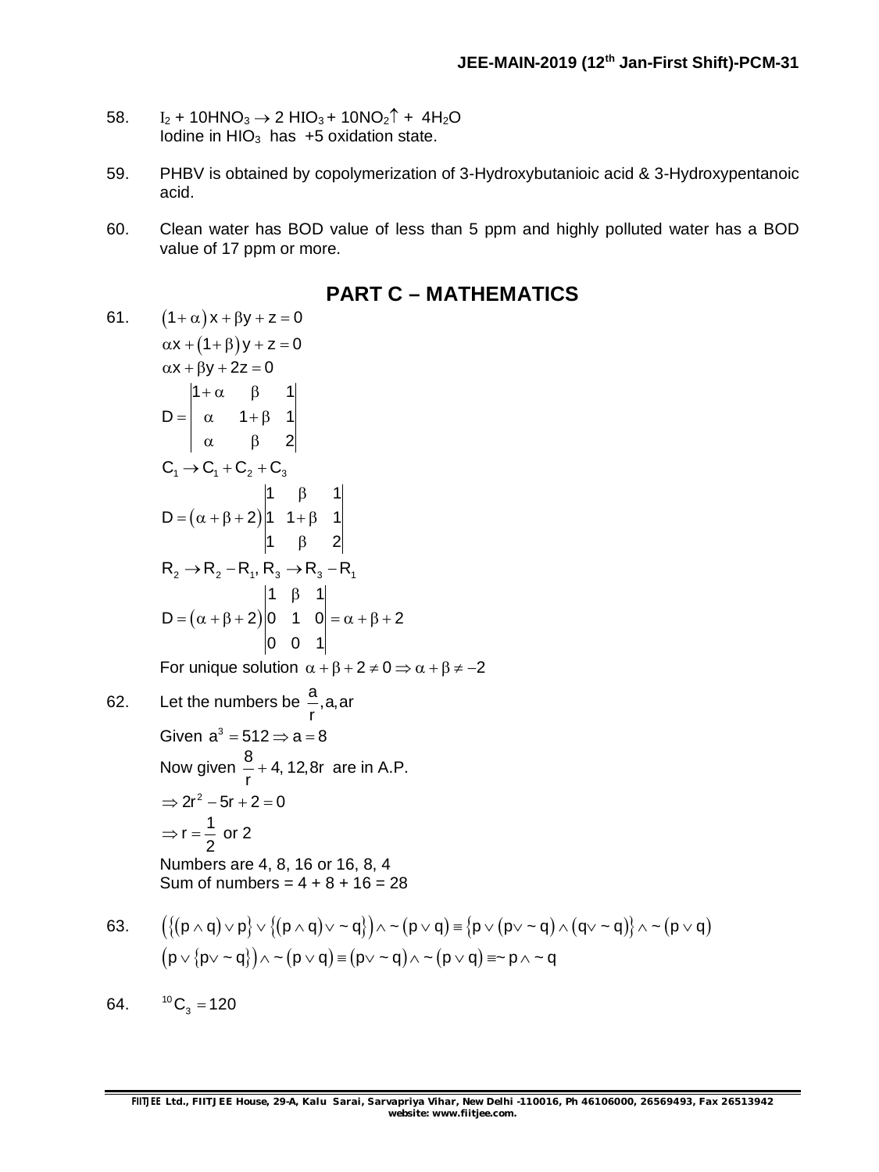- 58.  $I_2$  + 10HNO<sub>3</sub>  $\rightarrow$  2 HIO<sub>3</sub> + 10NO<sub>2</sub><sup> $\uparrow$ </sup> + 4H<sub>2</sub>O Iodine in  $HIO<sub>3</sub>$  has  $+5$  oxidation state.
- 59. PHBV is obtained by copolymerization of 3-Hydroxybutanioic acid & 3-Hydroxypentanoic acid.
- 60. Clean water has BOD value of less than 5 ppm and highly polluted water has a BOD value of 17 ppm or more.
- 61.  $(1 + \alpha)x + \beta y + z = 0$  $\alpha x + (1 + \beta)y + z = 0$  $\alpha x + \beta y + 2z = 0$  $1+\alpha$   $\beta$  1  $D = |\alpha - 1 + \beta - 1|$ 2  $+\alpha$   $\beta$  $= \begin{vmatrix} \alpha & 1 + \beta \end{vmatrix}$  $\alpha$   $\beta$  $C_1 \rightarrow C_1 + C_2 + C_3$  $(\alpha + \beta + 2)$ 1  $\beta$  1  $D = (\alpha + \beta + 2)|1 + \beta + 1|$ 1  $\beta$  2 β  $=(\alpha + \beta + 2)|1 \quad 1 + \beta$ β  $R_2 \rightarrow R_2 - R_1, R_3 \rightarrow R_3 - R_1$  $(\alpha + \beta + 2)$ 1  $\beta$  1  $D = (\alpha + \beta + 2)|0 \quad 1 \quad 0| = \alpha + \beta + 2$ 0 0 1 β  $= (\alpha + \beta + 2) |0 \quad 1 \quad 0| = \alpha + \beta + 2$ For unique solution  $\alpha + \beta + 2 \neq 0 \Rightarrow \alpha + \beta \neq -2$ 62. Let the numbers be  $a^2$ , a, ar r Given  $a^3 = 512 \Rightarrow a = 8$ Now given  $\frac{8}{-+}$  4, 12,8r r  $+$  4, 12,8r are in A.P.  $\Rightarrow$  2r<sup>2</sup> – 5r + 2 = 0  $r = \frac{1}{2}$ 2  $\Rightarrow$  r =  $\frac{1}{6}$  or 2 Numbers are 4, 8, 16 or 16, 8, 4 Sum of numbers =  $4 + 8 + 16 = 28$ 63.  $\left(\left\{\left(p\wedge q\right)\vee p\right\}\vee\left\{\left(p\wedge q\right)\vee\sim q\right\}\right)\wedge\sim\left(p\vee q\right)\equiv\left\{p\vee\left(p\vee\sim q\right)\wedge\left(q\vee\sim q\right)\right\}\wedge\sim\left(p\vee q\right)$  $(p \vee \{p \vee \neg q\}) \wedge \neg (p \vee q) \equiv (p \vee \neg q) \wedge \neg (p \vee q) \equiv \neg p \wedge \neg q$

## **PART C – MATHEMATICS**

64.  ${}^{10}C_3 = 120$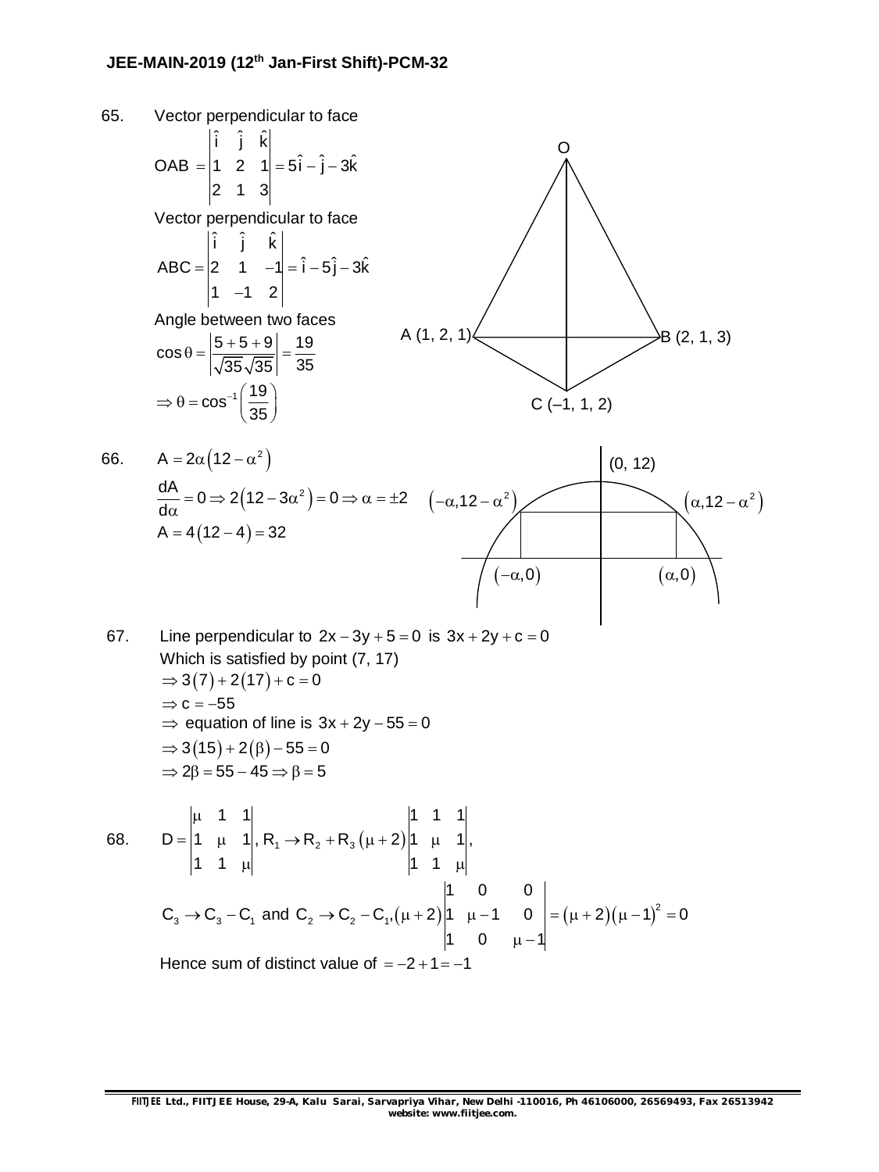

67. Line perpendicular to  $2x - 3y + 5 = 0$  is  $3x + 2y + c = 0$ Which is satisfied by point (7, 17)  $\Rightarrow$  3(7) + 2(17) + c = 0  $\Rightarrow$  c = -55  $\Rightarrow$  equation of line is  $3x + 2y - 55 = 0$  $\Rightarrow$  3(15) + 2( $\beta$ ) – 55 = 0  $\Rightarrow$  2 $\beta$  = 55 - 45  $\Rightarrow$   $\beta$  = 5

68. 
$$
D = \begin{vmatrix} \mu & 1 & 1 \\ 1 & \mu & 1 \\ 1 & 1 & \mu \end{vmatrix}, R_1 \rightarrow R_2 + R_3 (\mu + 2) \begin{vmatrix} 1 & 1 & 1 \\ 1 & \mu & 1 \\ 1 & 1 & \mu \end{vmatrix},
$$
  
\n
$$
C_3 \rightarrow C_3 - C_1 \text{ and } C_2 \rightarrow C_2 - C_1, (\mu + 2) \begin{vmatrix} 1 & 0 & 0 \\ 1 & \mu - 1 & 0 \\ 1 & 0 & \mu - 1 \end{vmatrix} = (\mu + 2)(\mu - 1)^2 = 0
$$

Hence sum of distinct value of  $= -2 + 1 = -1$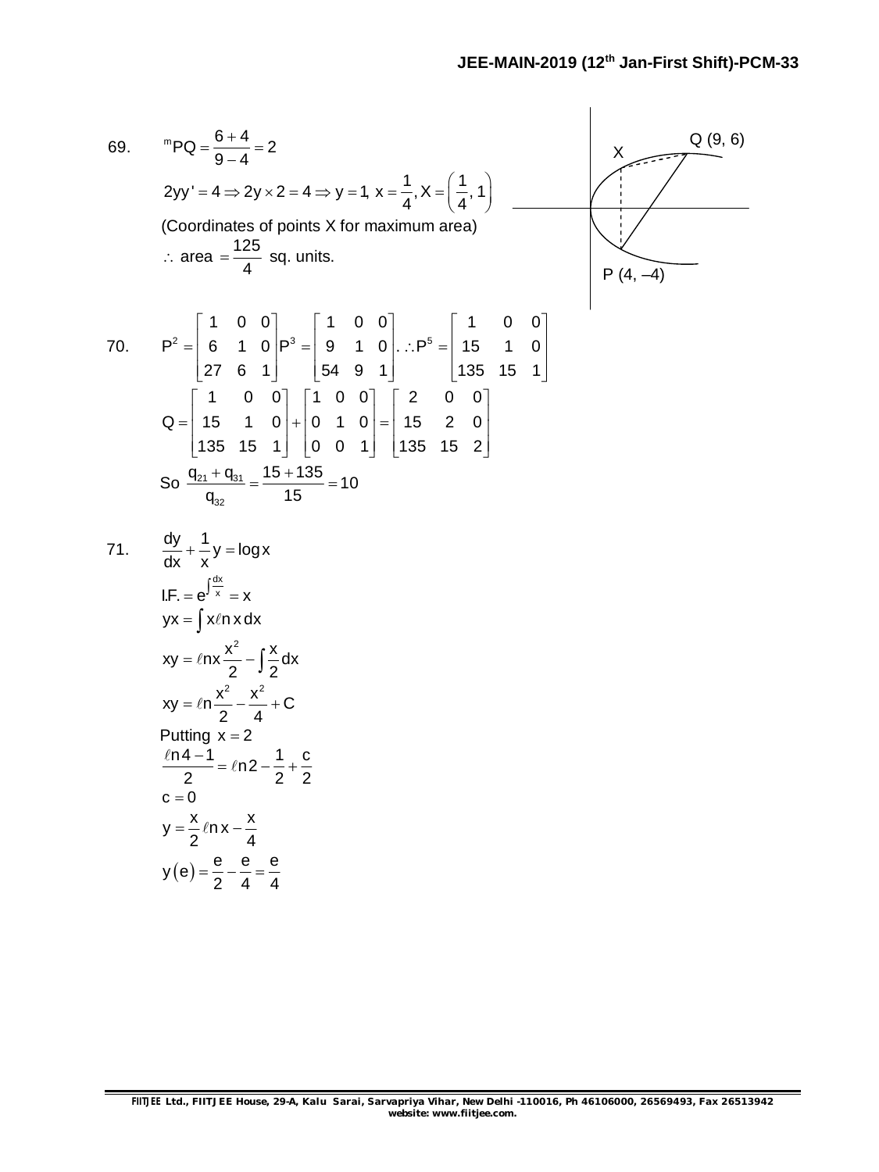69. 
$$
{}^{m}PQ = \frac{6+4}{9-4} = 2
$$
  
\n $2yy' = 4 \Rightarrow 2yx \cdot 2 = 4 \Rightarrow y = 1, x = \frac{1}{4}, x = (\frac{1}{4}, 1)$   
\n(Coordinates of points X for maximum area)  
\n $\therefore$  area =  $\frac{125}{4}$  sq. units.  
\n70.  $P^2 = \begin{bmatrix} 1 & 0 & 0 \\ 6 & 1 & 0 \\ 27 & 6 & 1 \end{bmatrix} P^3 = \begin{bmatrix} 1 & 0 & 0 \\ 9 & 1 & 0 \\ 54 & 9 & 1 \end{bmatrix} \therefore P^5 = \begin{bmatrix} 1 & 0 & 0 \\ 15 & 1 & 0 \\ 135 & 15 & 1 \end{bmatrix}$   
\n $Q = \begin{bmatrix} 1 & 0 & 0 \\ 15 & 1 & 0 \\ 135 & 15 & 1 \end{bmatrix} \begin{bmatrix} 1 & 0 & 0 \\ 0 & 1 & 0 \\ 0 & 0 & 1 \end{bmatrix} = \begin{bmatrix} 2 & 0 & 0 \\ 15 & 2 & 0 \\ 135 & 15 & 2 \end{bmatrix}$   
\nSo  $\frac{q_{2t} + q_{3t}}{q_{32}} = \frac{15 + 135}{15} = 10$   
\n71.  $\frac{dy}{dx} + \frac{1}{x}y = logx$   
\nIf  $F = e^{\int \frac{dx}{x}} = x$   
\n $yx = \int x \ln x dx$   
\n $xy = \ln x \frac{x^2}{2} - \int \frac{x}{2} dx$   
\n $xy = \ln x \frac{x^2}{2} - \int \frac{x}{2} dx$   
\n $xy = \ln x \frac{x^2}{2} - \frac{x^2}{4} + C$   
\nPutting  $x = 2$   
\n $\frac{\ln 4 - 1}{2} = \ln 2 - \frac{1}{2} + \frac{c}{2}$   
\n $c = 0$   
\n $y = \frac{x}{2} \ln x - \frac{x}{4}$   
\n $y(e) = \frac{e}{2} - \frac{e}{4} = \frac{e}{4}$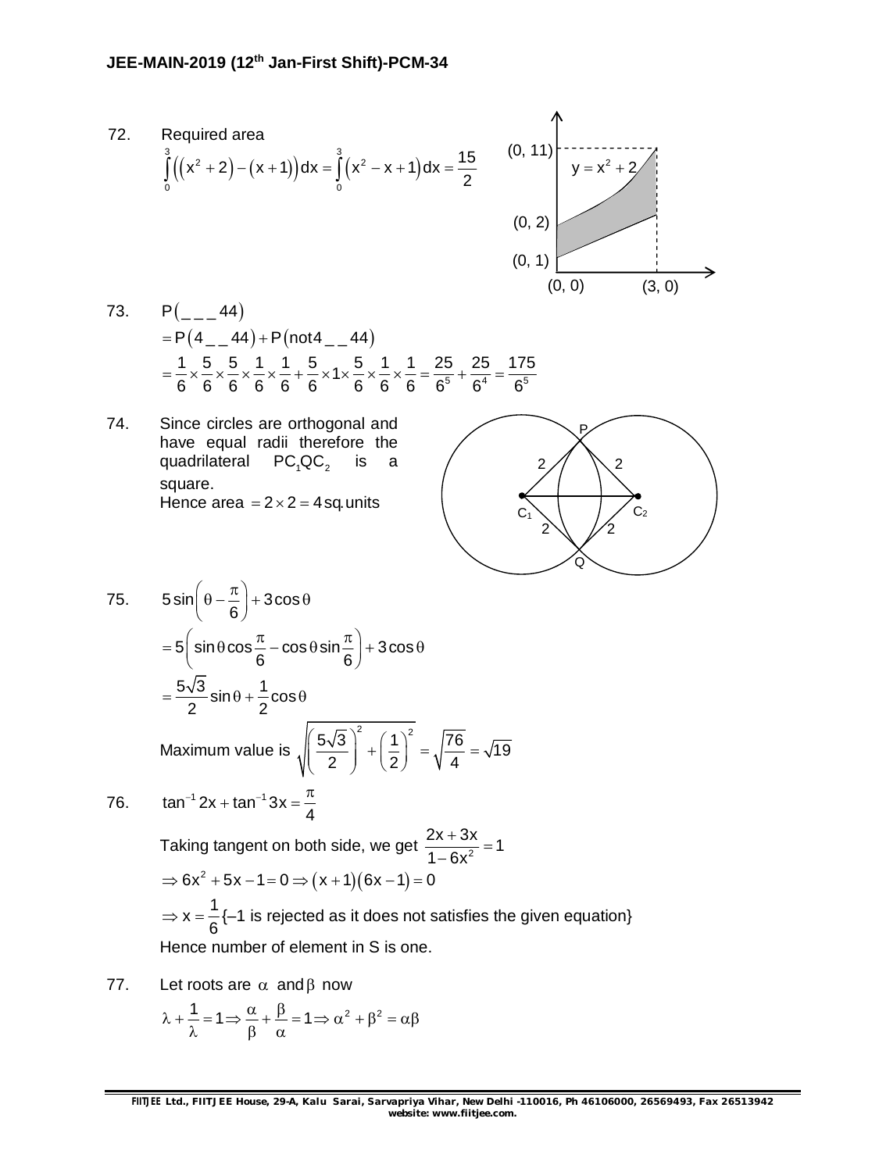

- 73.  $P$   $\left( -1, 44 \right)$  $= P(4 - 44) + P($ not $4 - 44)$  $\frac{1}{6} \times \frac{5}{6} \times \frac{5}{6} \times \frac{1}{6} \times \frac{1}{6} + \frac{5}{6} \times 1 \times \frac{5}{6} \times \frac{1}{6} \times \frac{1}{6} = \frac{25}{6^5} + \frac{25}{6^4} = \frac{175}{6^5}$  $6$  6 6 6 6 6 6 6 6 $^{5}$  6 $^{4}$  6 $^{5}$  $=\frac{1}{2} \times \frac{3}{2} \times \frac{3}{2} \times \frac{1}{2} \times \frac{1}{2} + \frac{5}{2} \times 1 \times \frac{5}{2} \times \frac{1}{2} \times \frac{1}{2} = \frac{25}{25} + \frac{25}{24} = -$
- 74. Since circles are orthogonal and have equal radii therefore the quadrilateral  $PC_4QC_2$  is a square. Hence area  $= 2 \times 2 = 4$  sq. units



75. 
$$
5 \sin\left(\theta - \frac{\pi}{6}\right) + 3 \cos\theta
$$

$$
= 5\left(\sin\theta\cos\frac{\pi}{6} - \cos\theta\sin\frac{\pi}{6}\right) + 3\cos\theta
$$

$$
= \frac{5\sqrt{3}}{2}\sin\theta + \frac{1}{2}\cos\theta
$$
  
Maximum value is 
$$
\sqrt{\left(\frac{5\sqrt{3}}{2}\right)^2 + \left(\frac{1}{2}\right)^2} = \sqrt{\frac{76}{4}} = \sqrt{19}
$$

76. 
$$
\tan^{-1} 2x + \tan^{-1} 3x = \frac{\pi}{4}
$$

Taking tangent on both side, we get  $\frac{2x + 3x}{1 - 6x^2} = 1$  $1 - 6x$  $\frac{+3x}{2}$  = - $\Rightarrow$  6x<sup>2</sup> + 5x - 1 = 0  $\Rightarrow$  (x + 1)(6x - 1) = 0  $x = \frac{1}{2}$ 6  $\Rightarrow$  x =  $\frac{1}{6}$  (-1 is rejected as it does not satisfies the given equation) Hence number of element in S is one.

77. Let roots are  $\alpha$  and  $\beta$  now

$$
\lambda + \frac{1}{\lambda} = 1 \Longrightarrow \frac{\alpha}{\beta} + \frac{\beta}{\alpha} = 1 \Longrightarrow \alpha^2 + \beta^2 = \alpha \beta
$$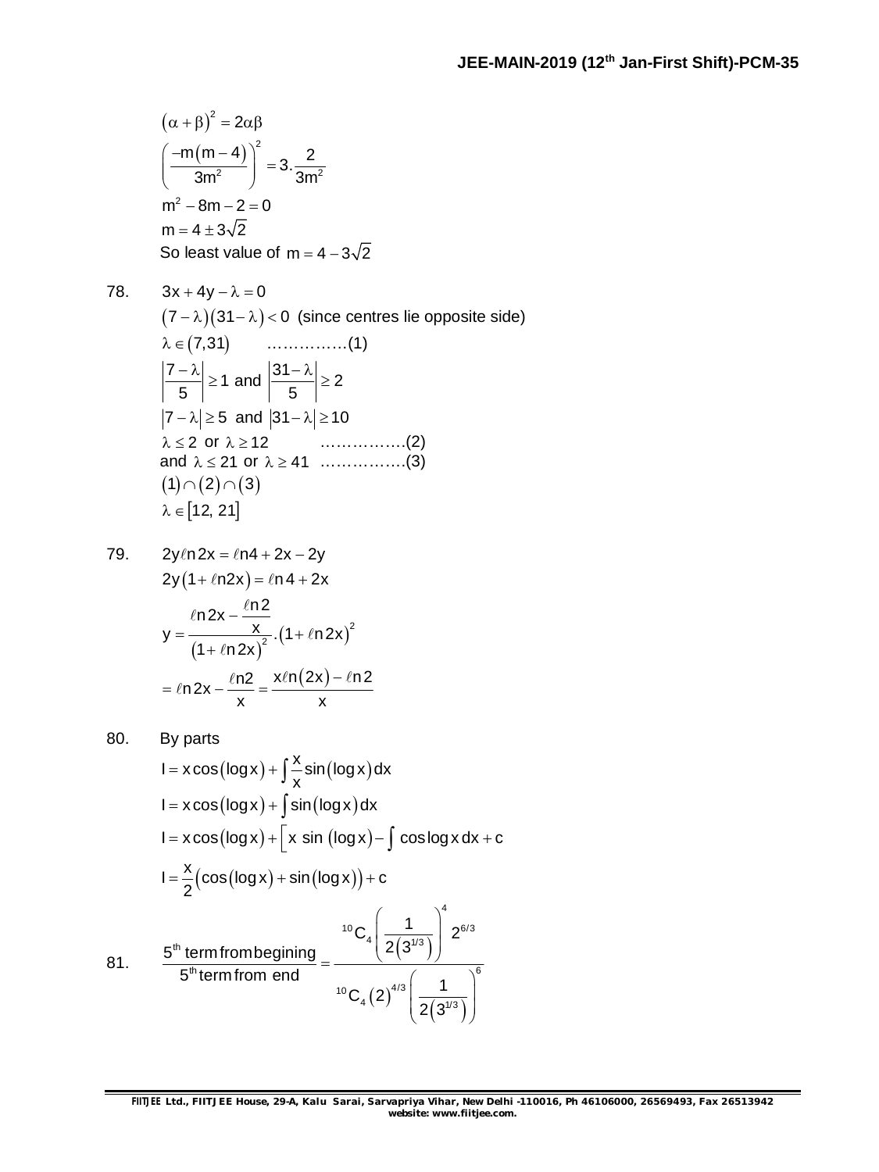$$
(\alpha + \beta)^2 = 2\alpha\beta
$$
  

$$
\left(\frac{-m(m-4)}{3m^2}\right)^2 = 3 \cdot \frac{2}{3m^2}
$$
  

$$
m^2 - 8m - 2 = 0
$$
  

$$
m = 4 \pm 3\sqrt{2}
$$
  
So least value of  $m = 4 - 3\sqrt{2}$ 

78.  $3x + 4y - \lambda = 0$  $(7 - \lambda)(31 - \lambda) < 0$  (since centres lie opposite side)  $\lambda \in (7,31)$  ……………(1)  $\left|\frac{7-\lambda}{7}\right| \geq 1$ 5  $\left|\frac{-\lambda}{\epsilon}\right| \geq 1$  and  $\left|\frac{31 - \lambda}{\epsilon}\right| \geq 2$ 5  $\left|\frac{-\lambda}{\lambda}\right| \ge$  $|7 - \lambda| \ge 5$  and  $|31 - \lambda| \ge 10$  $\lambda \leq 2$  or  $\lambda \geq 12$  ……………..(2) and  $\lambda \le 21$  or  $\lambda \ge 41$  ................(3)  $(1) \cap (2) \cap (3)$  $\lambda \in [12, 21]$ 

79. 
$$
2y\ln 2x = \ln 4 + 2x - 2y
$$

$$
2y(1 + \ln 2x) = \ln 4 + 2x
$$

$$
y = \frac{\ln 2x - \frac{\ln 2}{x}}{(1 + \ln 2x)^2} \cdot (1 + \ln 2x)^2
$$

$$
= \ln 2x - \frac{\ln 2}{x} = \frac{x\ln(2x) - \ln 2}{x}
$$

80. By parts  
\n
$$
I = x \cos(\log x) + \int \frac{x}{x} \sin(\log x) dx
$$
\n
$$
I = x \cos(\log x) + \int \sin(\log x) dx
$$
\n
$$
I = x \cos(\log x) + \left[x \sin(\log x) - \int \cos \log x dx + c\right]
$$
\n
$$
I = \frac{x}{2} (\cos(\log x) + \sin(\log x)) + c
$$
\n81. 
$$
\frac{5^{th} \text{ term from beginning}}{5^{th} \text{ term from end}} = \frac{{^{10}C_4} \left(\frac{1}{2(3^{1/3})}\right)^4}{^{10}C_4 (2)^{4/3} \left(\frac{1}{2(3^{1/3})}\right)^6}
$$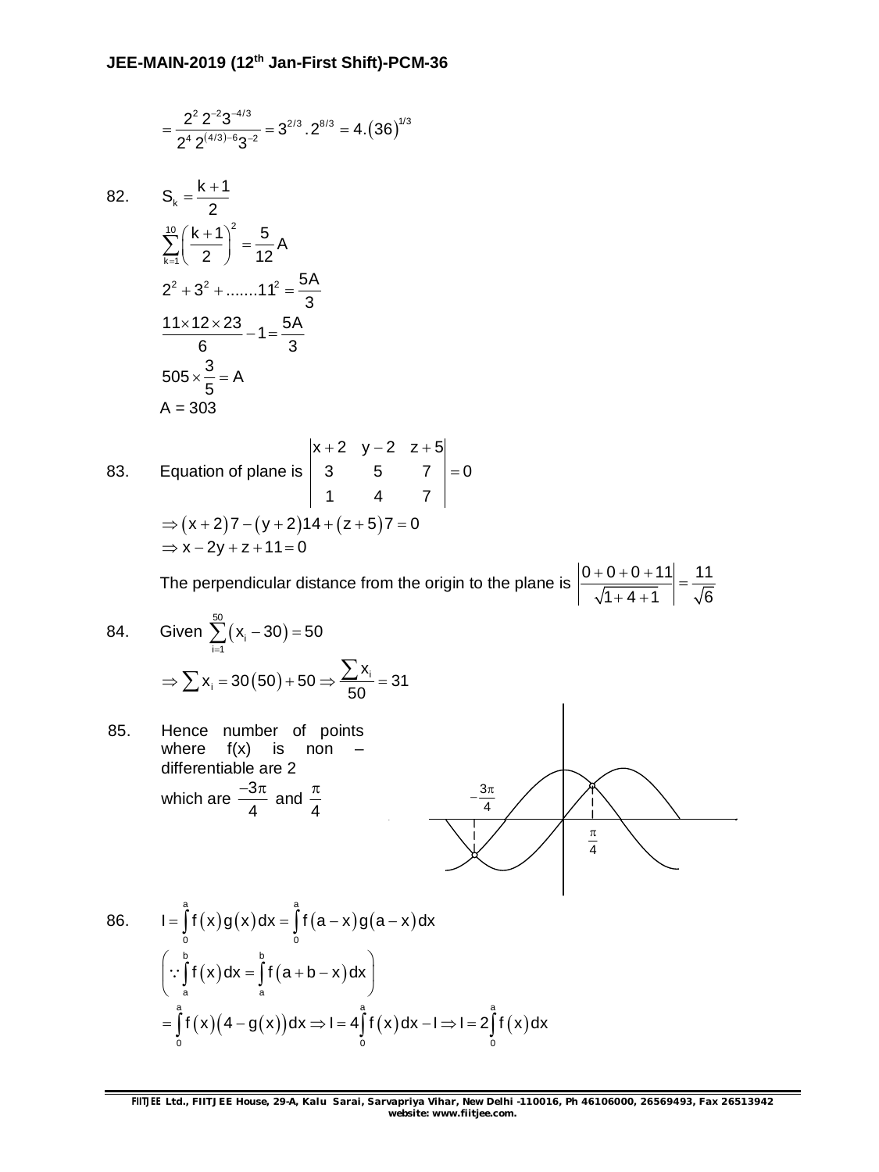$$
=\frac{2^2\,2^{-2}3^{-4/3}}{2^4\,2^{(4/3)-6}3^{-2}}=3^{2/3}\cdot2^{8/3}=4\cdot\left(36\right)^{1/3}
$$

82.  $S_k = \frac{k+1}{2}$ 

$$
S_k = \frac{k+1}{2}
$$
  
\n
$$
\sum_{k=1}^{10} \left(\frac{k+1}{2}\right)^2 = \frac{5}{12}A
$$
  
\n
$$
2^2 + 3^2 + \dots + 11^2 = \frac{5A}{3}
$$
  
\n
$$
\frac{11 \times 12 \times 23}{6} - 1 = \frac{5A}{3}
$$
  
\n
$$
505 \times \frac{3}{5} = A
$$
  
\n
$$
A = 303
$$

83. Equation of plane is 
$$
\begin{vmatrix} x+2 & y-2 & z+5 \ 3 & 5 & 7 \ 1 & 4 & 7 \ \end{vmatrix} = 0
$$
  
\n
$$
\Rightarrow (x+2)7 - (y+2)14 + (z+5)7 = 0
$$
  
\n
$$
\Rightarrow x - 2y + z + 11 = 0
$$

The perpendicular distance from the origin to the plane is  $\left|\frac{0+0+0+11}{0+1}\right| = \frac{11}{\sqrt{2}}$  $1 + 4 + 1$   $\sqrt{6}$  $\frac{+0+0+11}{\sqrt{2}} =$  $+4+1$  $50$ 

84. Given 
$$
\sum_{i=1}^{50} (x_i - 30) = 50
$$
  
\n $\Rightarrow \sum x_i = 30(50) + 50 \Rightarrow \frac{\sum x_i}{50} = 31$ 

85. Hence number of points where 
$$
f(x)
$$
 is non -  
differentiable are 2  
which are  $\frac{-3\pi}{4}$  and  $\frac{\pi}{4}$ 

86. 
$$
I = \int_{0}^{a} f(x)g(x)dx = \int_{0}^{b} f(a-x)g(a-x)dx
$$

$$
\left(\because \int_{a}^{b} f(x)dx = \int_{a}^{b} f(a+b-x)dx\right)
$$

$$
= \int_{0}^{a} f(x)(4-g(x))dx \Rightarrow I = 4\int_{0}^{a} f(x)dx - I \Rightarrow I = 2\int_{0}^{a} f(x)dx
$$